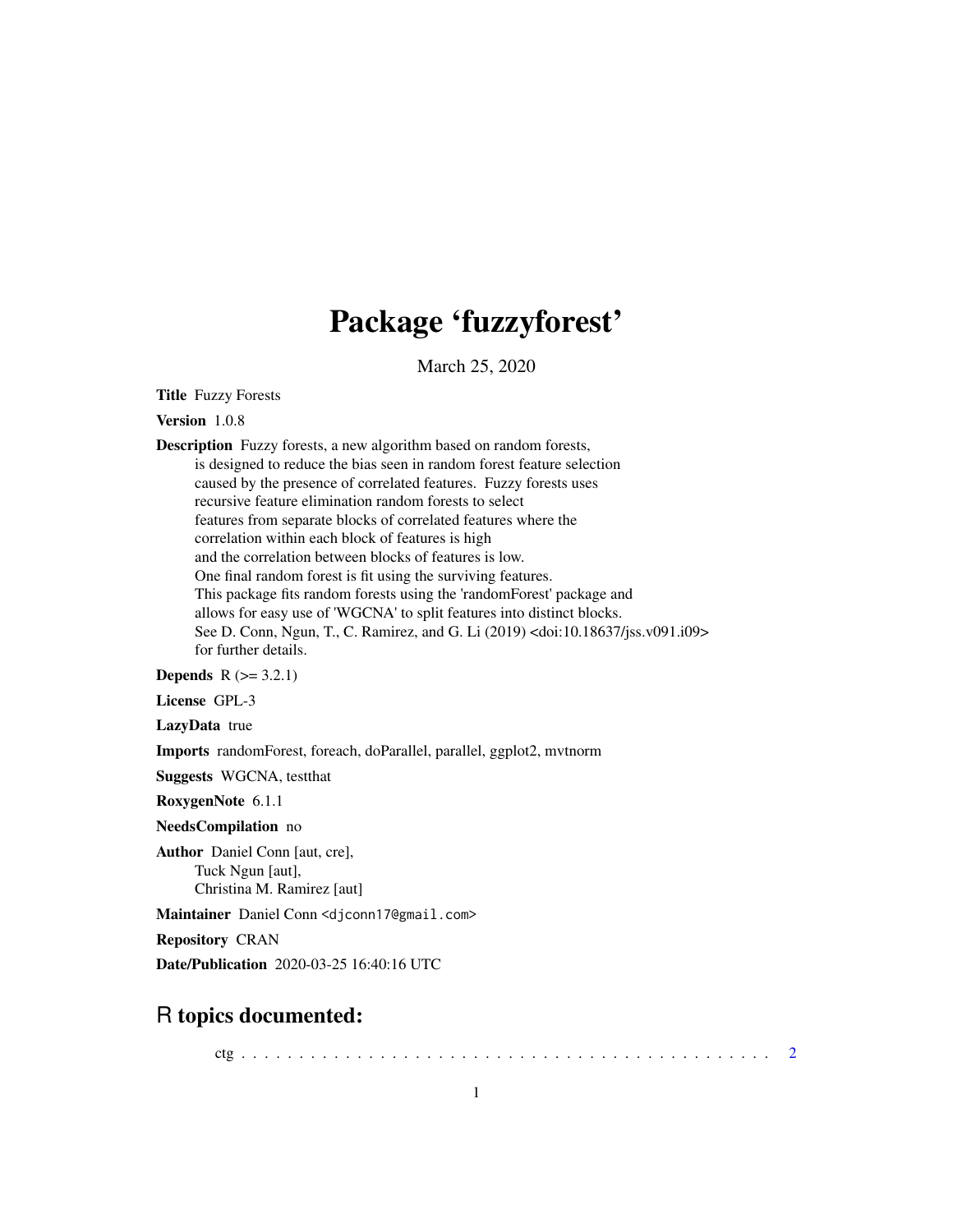# Package 'fuzzyforest'

March 25, 2020

Title Fuzzy Forests

Version 1.0.8

Description Fuzzy forests, a new algorithm based on random forests, is designed to reduce the bias seen in random forest feature selection caused by the presence of correlated features. Fuzzy forests uses recursive feature elimination random forests to select features from separate blocks of correlated features where the correlation within each block of features is high and the correlation between blocks of features is low. One final random forest is fit using the surviving features. This package fits random forests using the 'randomForest' package and allows for easy use of 'WGCNA' to split features into distinct blocks. See D. Conn, Ngun, T., C. Ramirez, and G. Li (2019) <doi:10.18637/jss.v091.i09> for further details.

**Depends**  $R (= 3.2.1)$ 

License GPL-3

LazyData true

Imports randomForest, foreach, doParallel, parallel, ggplot2, mvtnorm

Suggests WGCNA, testthat

RoxygenNote 6.1.1

NeedsCompilation no

Author Daniel Conn [aut, cre], Tuck Ngun [aut], Christina M. Ramirez [aut]

Maintainer Daniel Conn <djconn17@gmail.com>

Repository CRAN

Date/Publication 2020-03-25 16:40:16 UTC

# R topics documented:

ctg . . . . . . . . . . . . . . . . . . . . . . . . . . . . . . . . . . . . . . . . . . . . . . [2](#page-1-0)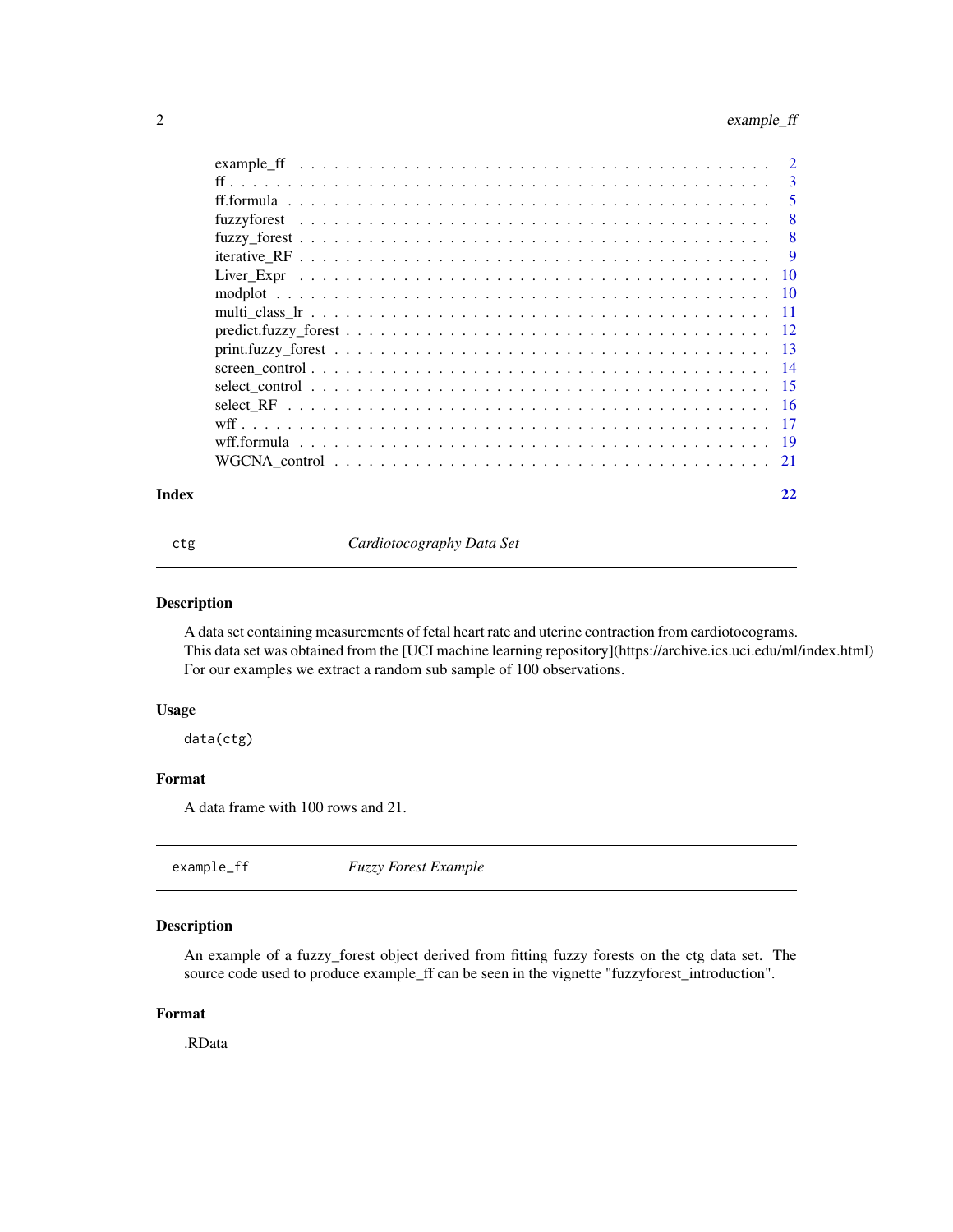# <span id="page-1-0"></span>2 example\_ff

|       | -5 |
|-------|----|
|       | -8 |
|       |    |
|       |    |
|       |    |
|       |    |
|       |    |
|       |    |
|       |    |
|       |    |
|       |    |
|       |    |
|       |    |
|       |    |
|       |    |
| Index |    |

ctg *Cardiotocography Data Set*

# Description

A data set containing measurements of fetal heart rate and uterine contraction from cardiotocograms. This data set was obtained from the [UCI machine learning repository](https://archive.ics.uci.edu/ml/index.html) For our examples we extract a random sub sample of 100 observations.

# Usage

data(ctg)

# Format

A data frame with 100 rows and 21.

| example_ff | <b>Fuzzy Forest Example</b> |  |
|------------|-----------------------------|--|
|------------|-----------------------------|--|

# Description

An example of a fuzzy\_forest object derived from fitting fuzzy forests on the ctg data set. The source code used to produce example\_ff can be seen in the vignette "fuzzyforest\_introduction".

# Format

.RData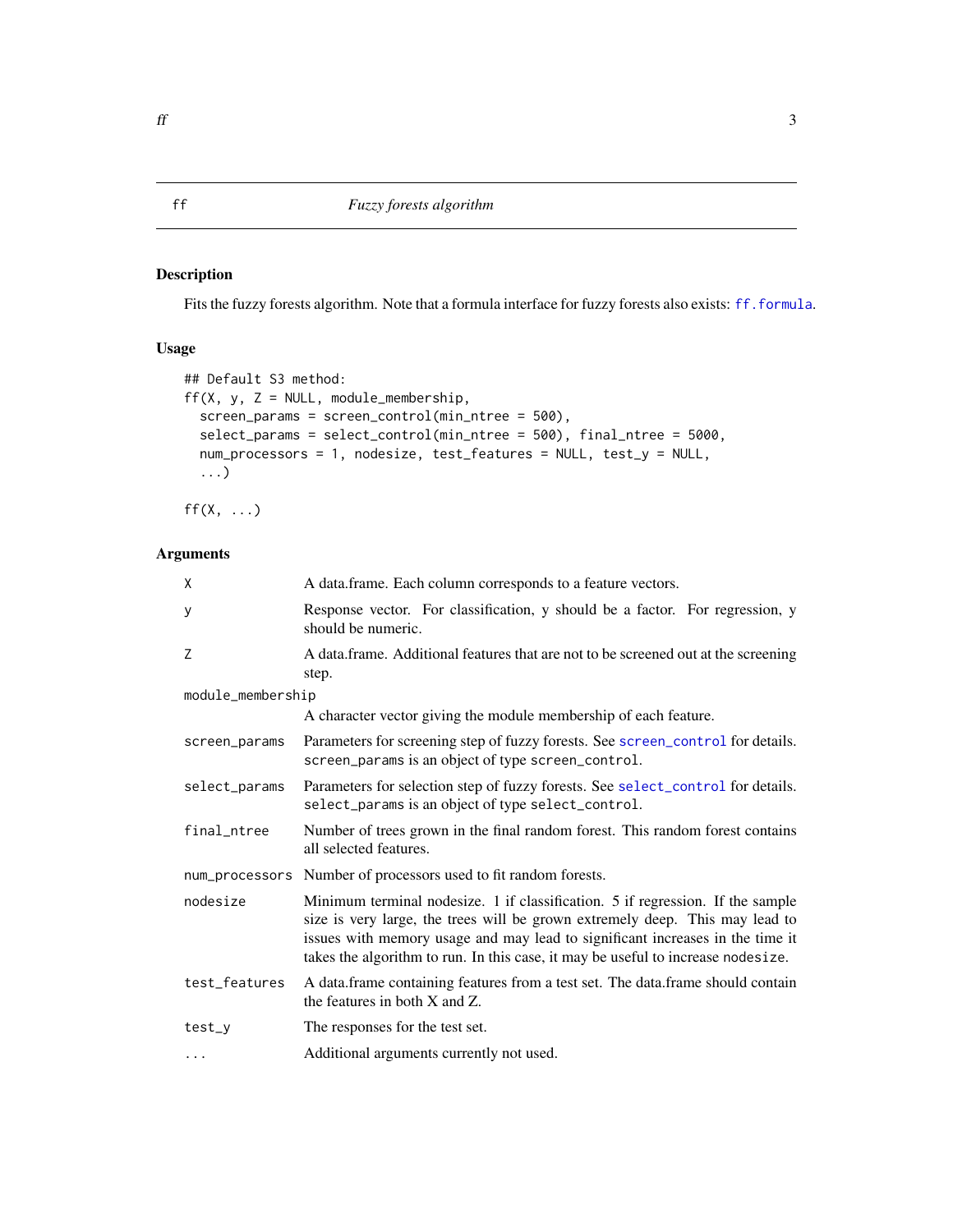<span id="page-2-1"></span><span id="page-2-0"></span>Fits the fuzzy forests algorithm. Note that a formula interface for fuzzy forests also exists: [ff.formula](#page-4-1).

# Usage

```
## Default S3 method:
ff(X, y, Z = NULL, module_meanbership,screen_params = screen_control(min_ntree = 500),
  select_params = select_control(min_ntree = 500), final_ntree = 5000,
 num_processors = 1, nodesize, test_features = NULL, test_y = NULL,
  ...)
```
 $ff(X, \ldots)$ 

| X                 | A data.frame. Each column corresponds to a feature vectors.                                                                                                                                                                                                                                                                         |
|-------------------|-------------------------------------------------------------------------------------------------------------------------------------------------------------------------------------------------------------------------------------------------------------------------------------------------------------------------------------|
| У                 | Response vector. For classification, y should be a factor. For regression, y<br>should be numeric.                                                                                                                                                                                                                                  |
| Z                 | A data.frame. Additional features that are not to be screened out at the screening<br>step.                                                                                                                                                                                                                                         |
| module_membership |                                                                                                                                                                                                                                                                                                                                     |
|                   | A character vector giving the module membership of each feature.                                                                                                                                                                                                                                                                    |
| screen_params     | Parameters for screening step of fuzzy forests. See screen_control for details.<br>screen_params is an object of type screen_control.                                                                                                                                                                                               |
| select_params     | Parameters for selection step of fuzzy forests. See select_control for details.<br>select_params is an object of type select_control.                                                                                                                                                                                               |
| final_ntree       | Number of trees grown in the final random forest. This random forest contains<br>all selected features.                                                                                                                                                                                                                             |
|                   | num_processors Number of processors used to fit random forests.                                                                                                                                                                                                                                                                     |
| nodesize          | Minimum terminal nodesize. 1 if classification. 5 if regression. If the sample<br>size is very large, the trees will be grown extremely deep. This may lead to<br>issues with memory usage and may lead to significant increases in the time it<br>takes the algorithm to run. In this case, it may be useful to increase nodesize. |
| test_features     | A data.frame containing features from a test set. The data.frame should contain<br>the features in both $X$ and $Z$ .                                                                                                                                                                                                               |
| test_y            | The responses for the test set.                                                                                                                                                                                                                                                                                                     |
| $\cdots$          | Additional arguments currently not used.                                                                                                                                                                                                                                                                                            |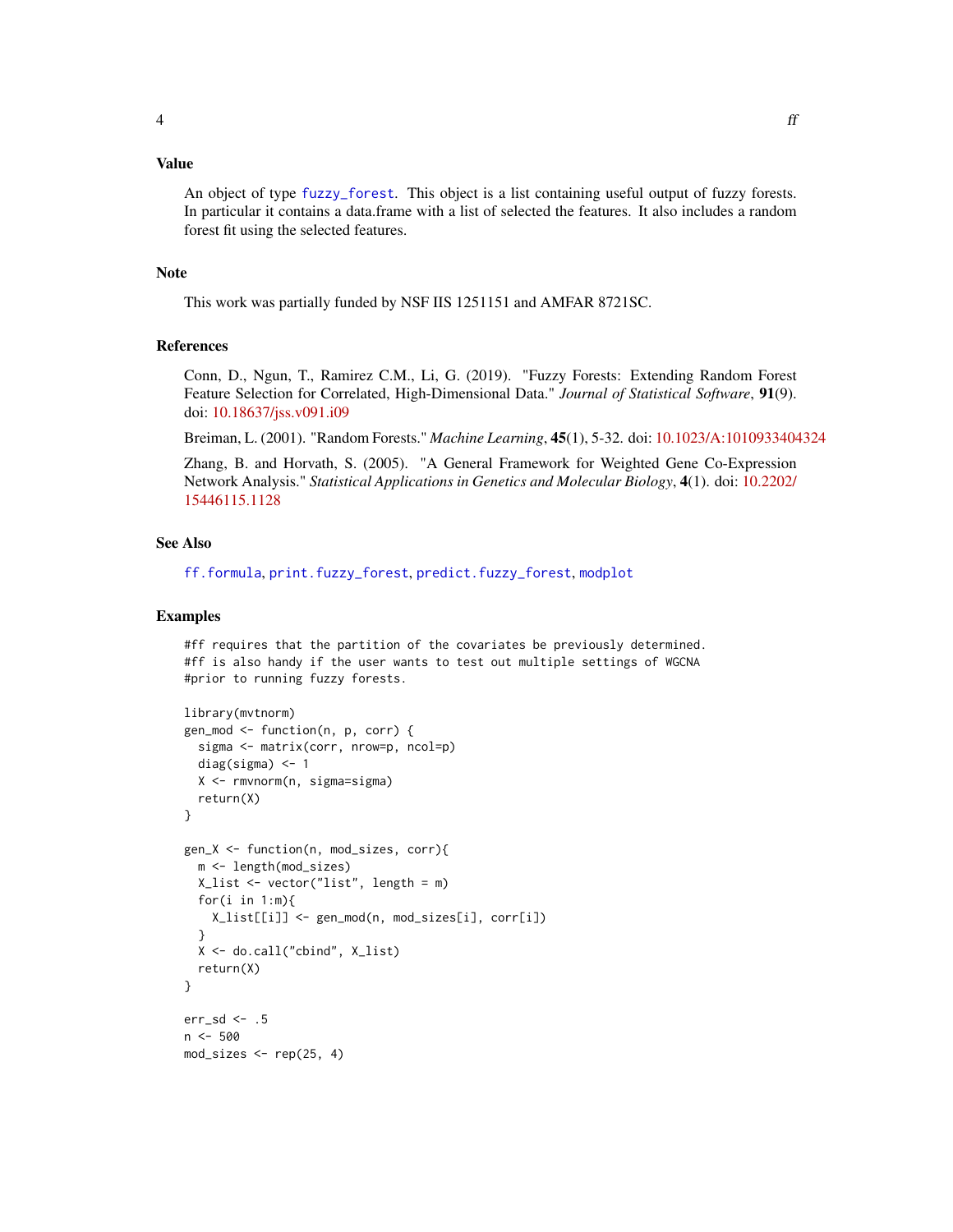<span id="page-3-0"></span>An object of type [fuzzy\\_forest](#page-7-1). This object is a list containing useful output of fuzzy forests. In particular it contains a data.frame with a list of selected the features. It also includes a random forest fit using the selected features.

# Note

This work was partially funded by NSF IIS 1251151 and AMFAR 8721SC.

#### References

Conn, D., Ngun, T., Ramirez C.M., Li, G. (2019). "Fuzzy Forests: Extending Random Forest Feature Selection for Correlated, High-Dimensional Data." *Journal of Statistical Software*, 91(9). doi: [10.18637/jss.v091.i09](https://doi.org/10.18637/jss.v091.i09)

Breiman, L. (2001). "Random Forests." *Machine Learning*, 45(1), 5-32. doi: [10.1023/A:1010933404324](https://doi.org/10.1023/A:1010933404324)

Zhang, B. and Horvath, S. (2005). "A General Framework for Weighted Gene Co-Expression Network Analysis." *Statistical Applications in Genetics and Molecular Biology*, 4(1). doi: [10.2202/](https://doi.org/10.2202/1544-6115.1128) [15446115.1128](https://doi.org/10.2202/1544-6115.1128)

# See Also

[ff.formula](#page-4-1), [print.fuzzy\\_forest](#page-12-1), [predict.fuzzy\\_forest](#page-11-1), [modplot](#page-9-1)

#### Examples

#ff requires that the partition of the covariates be previously determined. #ff is also handy if the user wants to test out multiple settings of WGCNA #prior to running fuzzy forests.

```
library(mvtnorm)
gen_mod <- function(n, p, corr) {
  sigma <- matrix(corr, nrow=p, ncol=p)
  diag(sigma) <- 1
  X <- rmvnorm(n, sigma=sigma)
  return(X)
}
gen_X <- function(n, mod_sizes, corr){
  m <- length(mod_sizes)
  X_list <- vector("list", length = m)
  for(i in 1:m){
   X_list[[i]] <- gen_mod(n, mod_sizes[i], corr[i])
  }
  X <- do.call("cbind", X_list)
  return(X)
}
err_sd <- .5
n < -500mod_sizes <- rep(25, 4)
```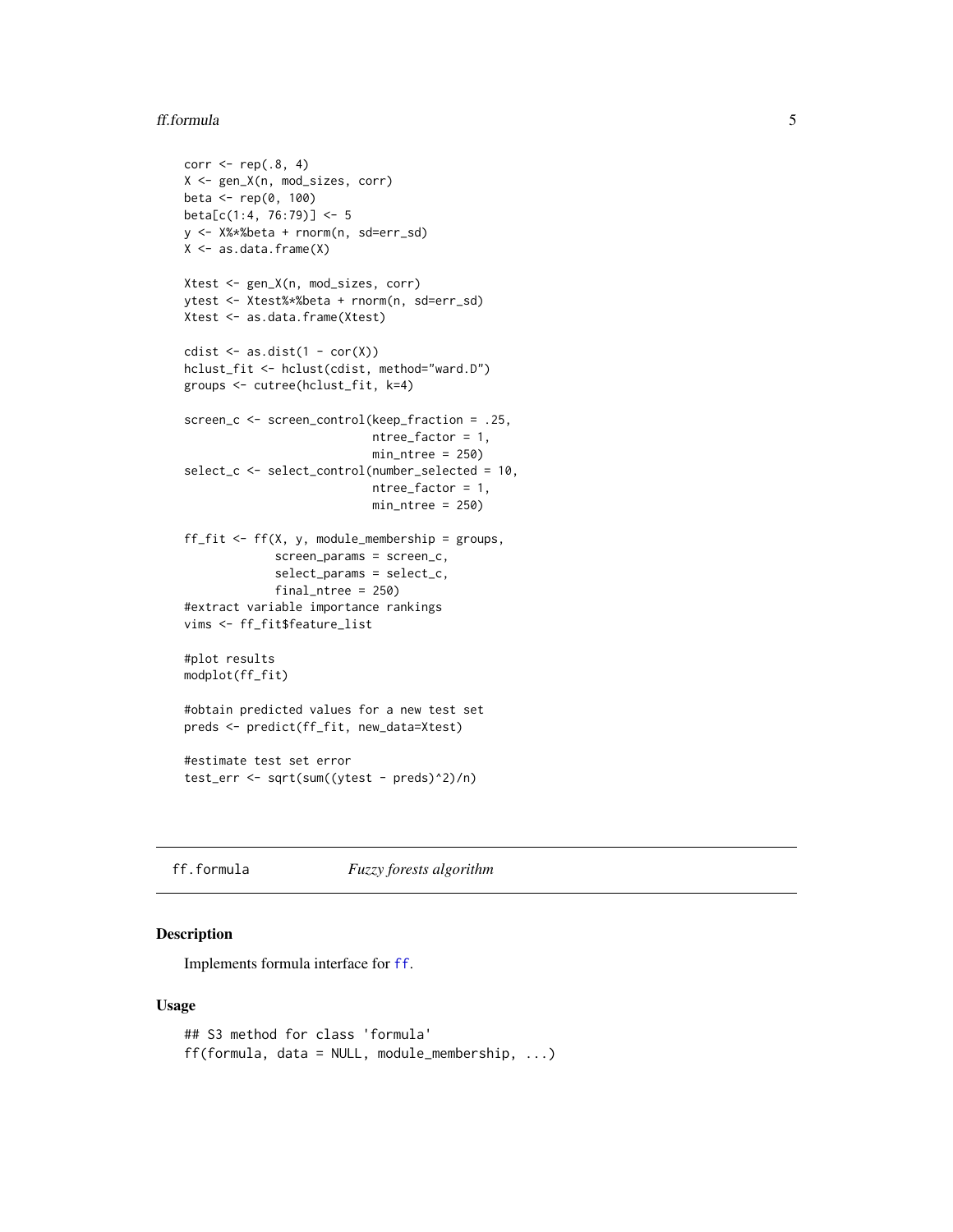#### <span id="page-4-0"></span>ff.formula 5

```
corr \leq rep(.8, 4)
X <- gen_X(n, mod_sizes, corr)
beta <- rep(0, 100)
beta[c(1:4, 76:79)] <- 5
y <- X%*%beta + rnorm(n, sd=err_sd)
X <- as.data.frame(X)
Xtest <- gen_X(n, mod_sizes, corr)
ytest <- Xtest%*%beta + rnorm(n, sd=err_sd)
Xtest <- as.data.frame(Xtest)
cdist \leq as.dist(1 - cor(X))
hclust_fit <- hclust(cdist, method="ward.D")
groups <- cutree(hclust_fit, k=4)
screen_c <- screen_control(keep_fraction = .25,
                           ntree_factor = 1,
                           min_ntree = 250)
select_c <- select_control(number_selected = 10,
                           ntree_factor = 1,
                           min_ntree = 250)
ff_fit <- ff(X, y, module_membership = groups,
             screen_params = screen_c,
             select_params = select_c,
             final_ntree = 250)
#extract variable importance rankings
vims <- ff_fit$feature_list
#plot results
modplot(ff_fit)
#obtain predicted values for a new test set
preds <- predict(ff_fit, new_data=Xtest)
#estimate test set error
test_err <- sqrt(sum((ytest - preds)^2)/n)
```
<span id="page-4-1"></span>ff.formula *Fuzzy forests algorithm*

#### Description

Implements formula interface for [ff](#page-2-1).

#### Usage

```
## S3 method for class 'formula'
ff(formula, data = NULL, module_membership, ...)
```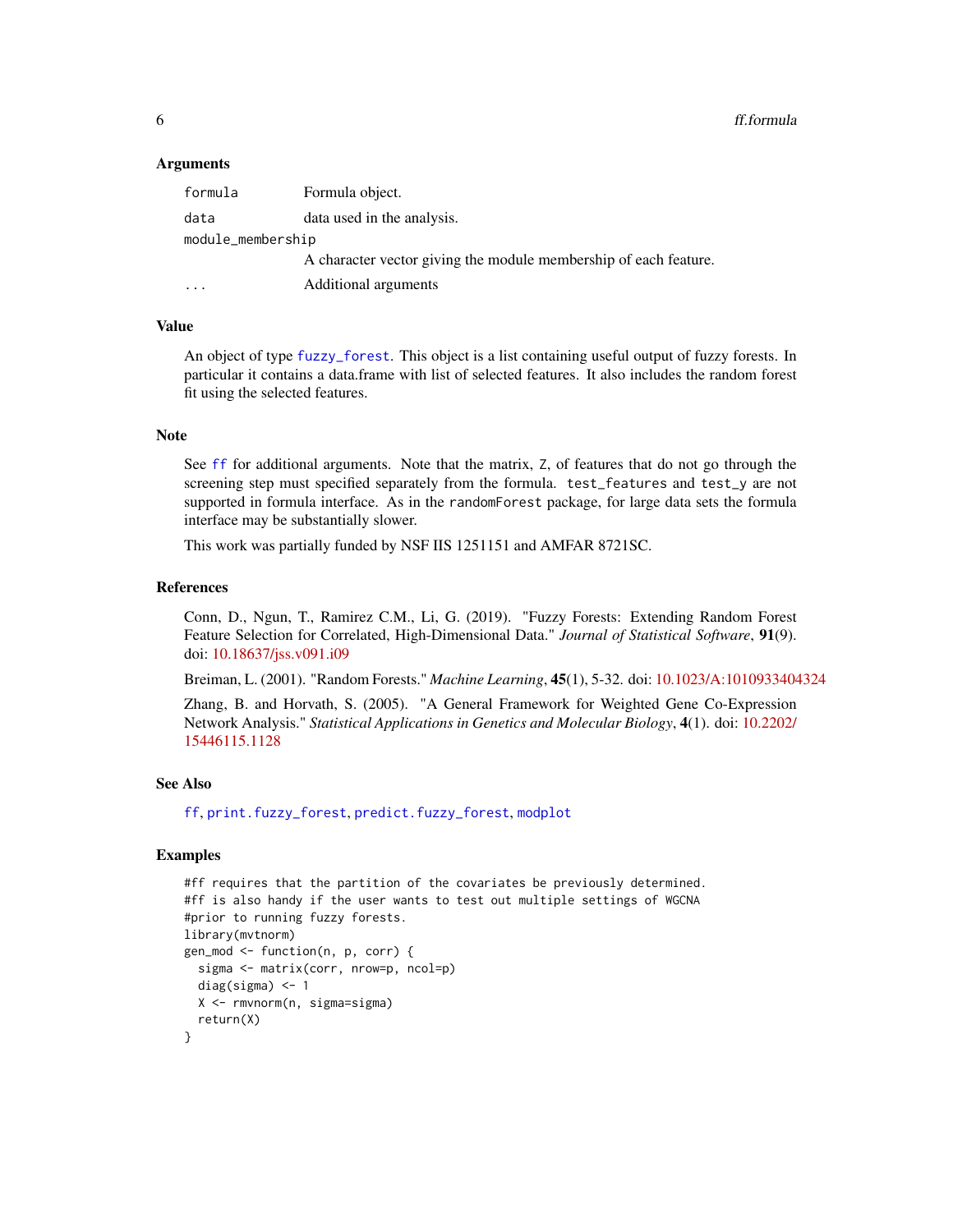<span id="page-5-0"></span>**6** ff.formula

#### Arguments

| formula           | Formula object.                                                  |
|-------------------|------------------------------------------------------------------|
| data              | data used in the analysis.                                       |
| module_membership |                                                                  |
|                   | A character vector giving the module membership of each feature. |
|                   | Additional arguments                                             |

# Value

An object of type [fuzzy\\_forest](#page-7-1). This object is a list containing useful output of fuzzy forests. In particular it contains a data.frame with list of selected features. It also includes the random forest fit using the selected features.

#### **Note**

See [ff](#page-2-1) for additional arguments. Note that the matrix, Z, of features that do not go through the screening step must specified separately from the formula. test\_features and test\_y are not supported in formula interface. As in the randomForest package, for large data sets the formula interface may be substantially slower.

This work was partially funded by NSF IIS 1251151 and AMFAR 8721SC.

#### References

Conn, D., Ngun, T., Ramirez C.M., Li, G. (2019). "Fuzzy Forests: Extending Random Forest Feature Selection for Correlated, High-Dimensional Data." *Journal of Statistical Software*, 91(9). doi: [10.18637/jss.v091.i09](https://doi.org/10.18637/jss.v091.i09)

Breiman, L. (2001). "Random Forests." *Machine Learning*, 45(1), 5-32. doi: [10.1023/A:1010933404324](https://doi.org/10.1023/A:1010933404324)

Zhang, B. and Horvath, S. (2005). "A General Framework for Weighted Gene Co-Expression Network Analysis." *Statistical Applications in Genetics and Molecular Biology*, 4(1). doi: [10.2202/](https://doi.org/10.2202/1544-6115.1128) [15446115.1128](https://doi.org/10.2202/1544-6115.1128)

#### See Also

[ff](#page-2-1), [print.fuzzy\\_forest](#page-12-1), [predict.fuzzy\\_forest](#page-11-1), [modplot](#page-9-1)

#### Examples

```
#ff requires that the partition of the covariates be previously determined.
#ff is also handy if the user wants to test out multiple settings of WGCNA
#prior to running fuzzy forests.
library(mvtnorm)
gen_mod <- function(n, p, corr) {
 sigma <- matrix(corr, nrow=p, ncol=p)
 diag(sigma) <- 1
 X <- rmvnorm(n, sigma=sigma)
 return(X)
}
```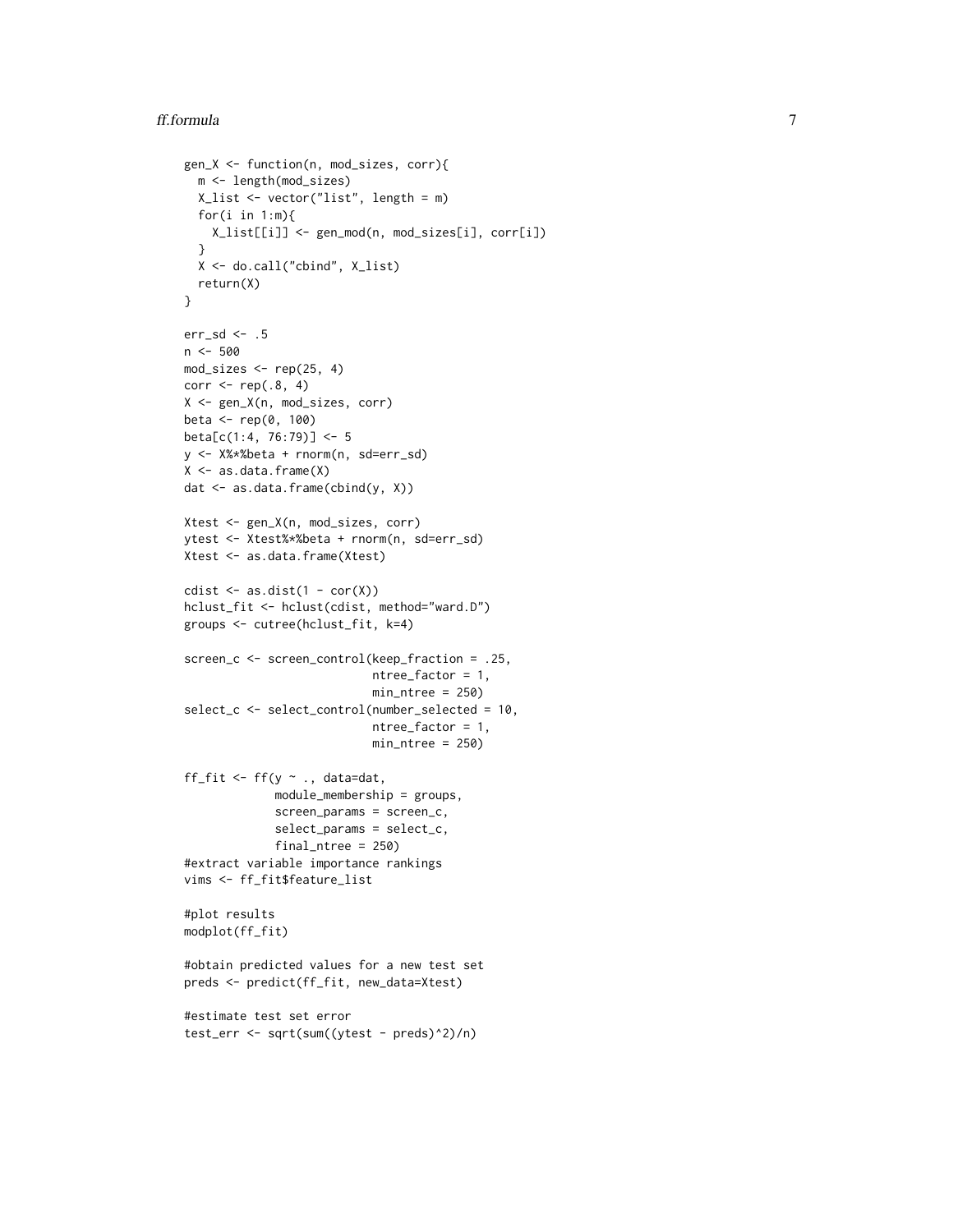```
gen_X <- function(n, mod_sizes, corr){
  m <- length(mod_sizes)
  X_list <- vector("list", length = m)
  for(i in 1:m){
   X_list[[i]] <- gen_mod(n, mod_sizes[i], corr[i])
  }
  X <- do.call("cbind", X_list)
  return(X)
}
err_sd <- .5
n <- 500
mod\_sizes \leftarrow rep(25, 4)corr \leq rep(.8, 4)
X <- gen_X(n, mod_sizes, corr)
beta <- rep(0, 100)
beta[c(1:4, 76:79)] <- 5
y <- X%*%beta + rnorm(n, sd=err_sd)
X \leftarrow as.data-frame(X)dat <- as.data.frame(cbind(y, X))
Xtest <- gen_X(n, mod_sizes, corr)
ytest <- Xtest%*%beta + rnorm(n, sd=err_sd)
Xtest <- as.data.frame(Xtest)
cdist \leq as.dist(1 - cor(X))
hclust_fit <- hclust(cdist, method="ward.D")
groups <- cutree(hclust_fit, k=4)
screen_c <- screen_control(keep_fraction = .25,
                           ntree_factor = 1,
                           min_ntree = 250)
select_c <- select_control(number_selected = 10,
                           ntree_factor = 1,
                           min_ntree = 250)
ff_fit <- ff(y \sim ., data=dat,module_membership = groups,
             screen_params = screen_c,
             select_params = select_c,
             final_ntree = 250)
#extract variable importance rankings
vims <- ff_fit$feature_list
#plot results
modplot(ff_fit)
#obtain predicted values for a new test set
preds <- predict(ff_fit, new_data=Xtest)
#estimate test set error
test_err <- sqrt(sum((ytest - preds)^2)/n)
```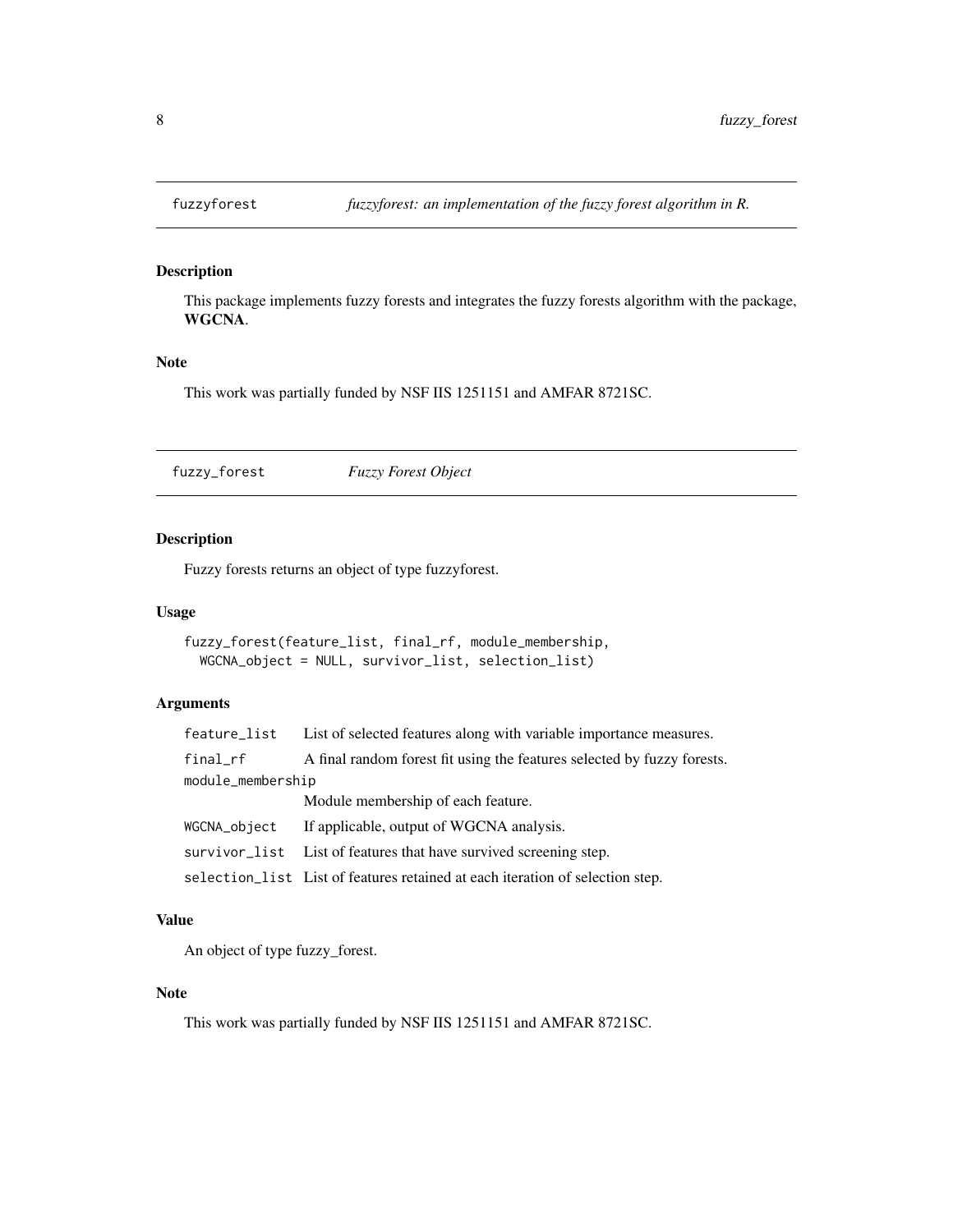<span id="page-7-0"></span>

This package implements fuzzy forests and integrates the fuzzy forests algorithm with the package, WGCNA.

# Note

This work was partially funded by NSF IIS 1251151 and AMFAR 8721SC.

<span id="page-7-1"></span>fuzzy\_forest *Fuzzy Forest Object*

# Description

Fuzzy forests returns an object of type fuzzyforest.

#### Usage

```
fuzzy_forest(feature_list, final_rf, module_membership,
 WGCNA_object = NULL, survivor_list, selection_list)
```
# Arguments

|                   | feature_list List of selected features along with variable importance measures. |
|-------------------|---------------------------------------------------------------------------------|
| final_rf          | A final random forest fit using the features selected by fuzzy forests.         |
| module_membership |                                                                                 |
|                   | Module membership of each feature.                                              |
| WGCNA_object      | If applicable, output of WGCNA analysis.                                        |
|                   | survivor_list List of features that have survived screening step.               |
|                   | selection_list List of features retained at each iteration of selection step.   |

#### Value

An object of type fuzzy\_forest.

# Note

This work was partially funded by NSF IIS 1251151 and AMFAR 8721SC.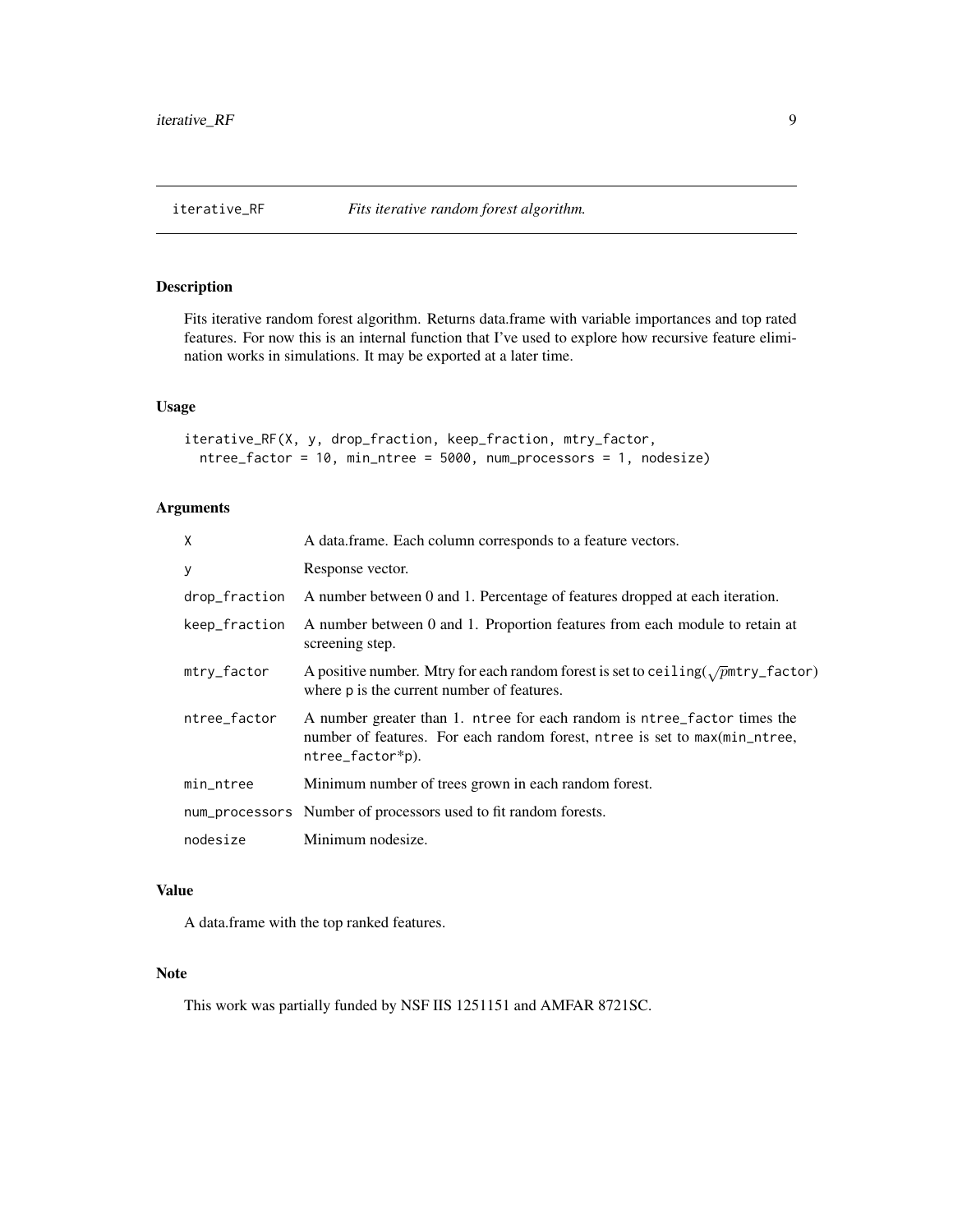<span id="page-8-0"></span>

Fits iterative random forest algorithm. Returns data.frame with variable importances and top rated features. For now this is an internal function that I've used to explore how recursive feature elimination works in simulations. It may be exported at a later time.

# Usage

```
iterative_RF(X, y, drop_fraction, keep_fraction, mtry_factor,
 ntree_factor = 10, min_ntree = 5000, num_processors = 1, nodesize)
```
# Arguments

| X             | A data.frame. Each column corresponds to a feature vectors.                                                                                                                |
|---------------|----------------------------------------------------------------------------------------------------------------------------------------------------------------------------|
| У             | Response vector.                                                                                                                                                           |
| drop_fraction | A number between 0 and 1. Percentage of features dropped at each iteration.                                                                                                |
| keep_fraction | A number between 0 and 1. Proportion features from each module to retain at<br>screening step.                                                                             |
| mtry_factor   | A positive number. Mtry for each random forest is set to ceiling( $\sqrt{p}$ mtry_factor)<br>where p is the current number of features.                                    |
| ntree_factor  | A number greater than 1. ntree for each random is ntree_factor times the<br>number of features. For each random forest, ntree is set to max(min_ntree,<br>ntree_factor*p). |
| min_ntree     | Minimum number of trees grown in each random forest.                                                                                                                       |
|               | num_processors Number of processors used to fit random forests.                                                                                                            |
| nodesize      | Minimum nodesize.                                                                                                                                                          |

# Value

A data.frame with the top ranked features.

# Note

This work was partially funded by NSF IIS 1251151 and AMFAR 8721SC.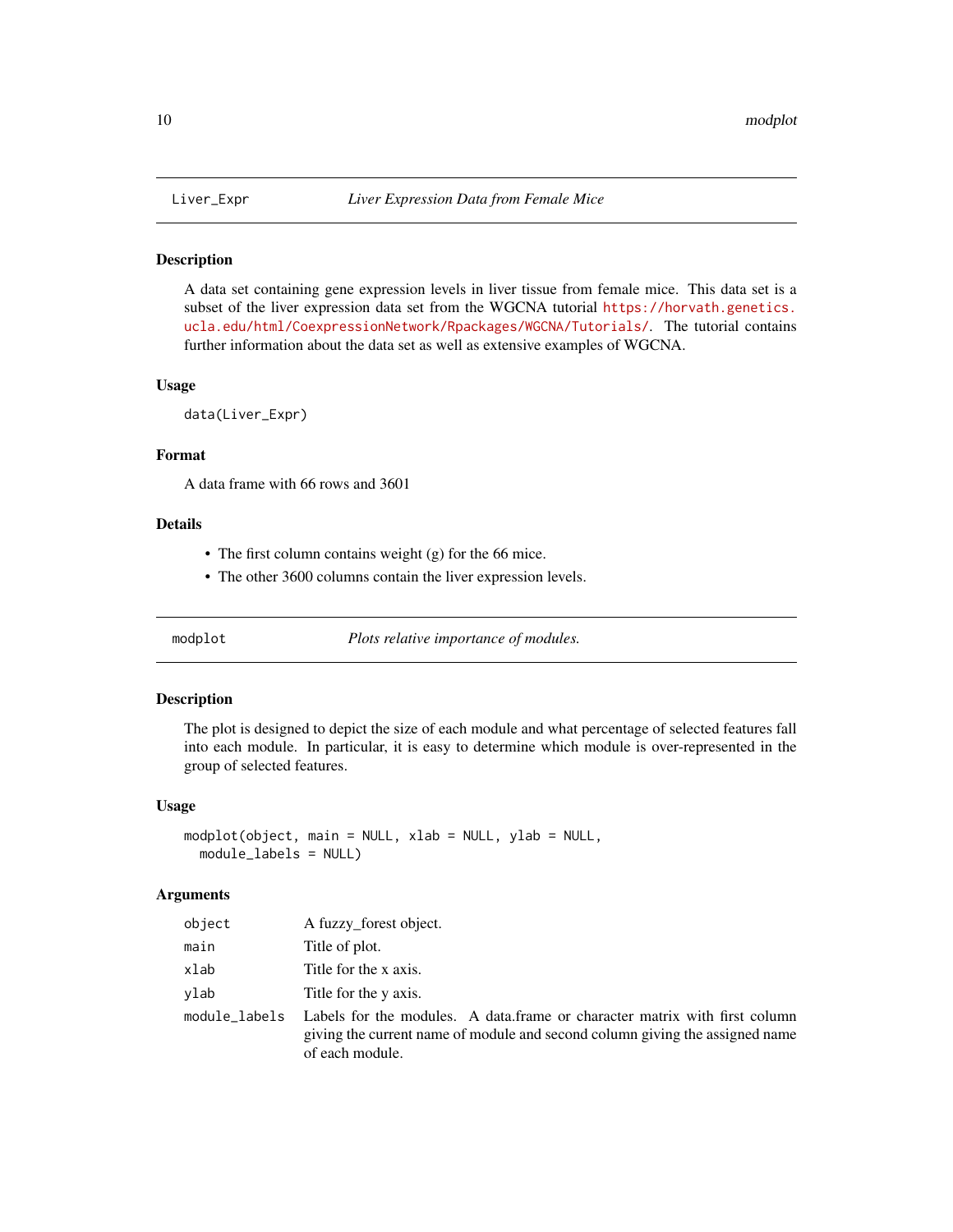<span id="page-9-0"></span>

A data set containing gene expression levels in liver tissue from female mice. This data set is a subset of the liver expression data set from the WGCNA tutorial [https://horvath.genetics.](https://horvath.genetics.ucla.edu/html/CoexpressionNetwork/Rpackages/WGCNA/Tutorials/) [ucla.edu/html/CoexpressionNetwork/Rpackages/WGCNA/Tutorials/](https://horvath.genetics.ucla.edu/html/CoexpressionNetwork/Rpackages/WGCNA/Tutorials/). The tutorial contains further information about the data set as well as extensive examples of WGCNA.

#### Usage

data(Liver\_Expr)

# Format

A data frame with 66 rows and 3601

# Details

- The first column contains weight (g) for the 66 mice.
- The other 3600 columns contain the liver expression levels.

<span id="page-9-1"></span>modplot *Plots relative importance of modules.*

#### Description

The plot is designed to depict the size of each module and what percentage of selected features fall into each module. In particular, it is easy to determine which module is over-represented in the group of selected features.

#### Usage

```
modplot(object, main = NULL, xlab = NULL, ylab = NULL,
 module_labels = NULL)
```

| object | A fuzzy_forest object.                                                                                                                                                                      |
|--------|---------------------------------------------------------------------------------------------------------------------------------------------------------------------------------------------|
| main   | Title of plot.                                                                                                                                                                              |
| xlab   | Title for the x axis.                                                                                                                                                                       |
| vlab   | Title for the y axis.                                                                                                                                                                       |
|        | module_labels Labels for the modules. A data.frame or character matrix with first column<br>giving the current name of module and second column giving the assigned name<br>of each module. |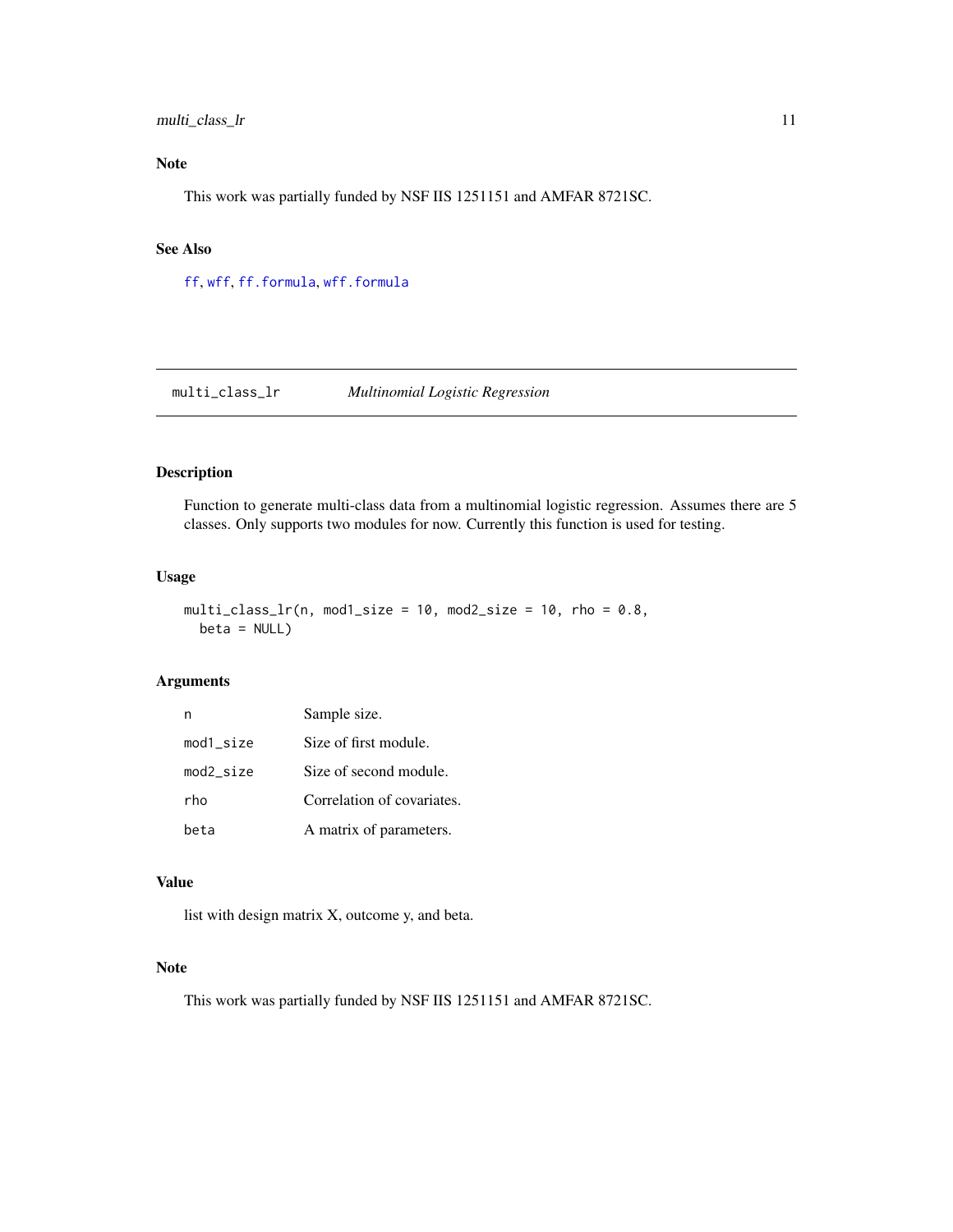# <span id="page-10-0"></span>multi\_class\_lr 11

# Note

This work was partially funded by NSF IIS 1251151 and AMFAR 8721SC.

# See Also

[ff](#page-2-1), [wff](#page-16-1), [ff.formula](#page-4-1), [wff.formula](#page-18-1)

multi\_class\_lr *Multinomial Logistic Regression*

# Description

Function to generate multi-class data from a multinomial logistic regression. Assumes there are 5 classes. Only supports two modules for now. Currently this function is used for testing.

# Usage

```
multi_class_lr(n, mod1_size = 10, mod2_size = 10, rho = 0.8,
 beta = NULL)
```
# Arguments

|              | Sample size.               |
|--------------|----------------------------|
| $mod1$ _size | Size of first module.      |
| $mod2$ _size | Size of second module.     |
| rho          | Correlation of covariates. |
| beta         | A matrix of parameters.    |

# Value

list with design matrix X, outcome y, and beta.

# Note

This work was partially funded by NSF IIS 1251151 and AMFAR 8721SC.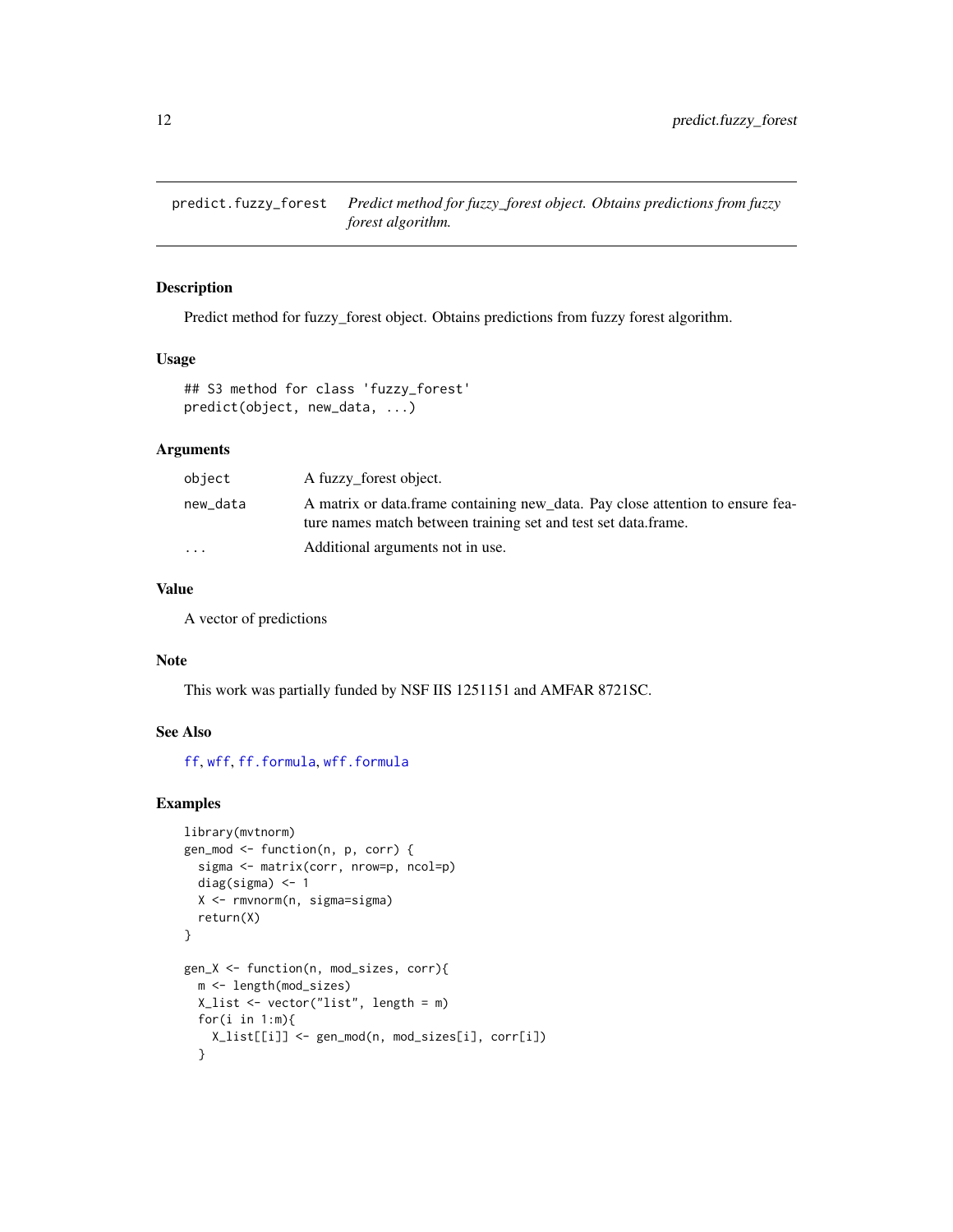<span id="page-11-1"></span><span id="page-11-0"></span>predict.fuzzy\_forest *Predict method for fuzzy\_forest object. Obtains predictions from fuzzy forest algorithm.*

#### Description

Predict method for fuzzy\_forest object. Obtains predictions from fuzzy forest algorithm.

# Usage

```
## S3 method for class 'fuzzy_forest'
predict(object, new_data, ...)
```
# Arguments

| object    | A fuzzy forest object.                                                                                                                           |
|-----------|--------------------------------------------------------------------------------------------------------------------------------------------------|
| new_data  | A matrix or data.frame containing new_data. Pay close attention to ensure fea-<br>ture names match between training set and test set data.frame. |
| $\ddotsc$ | Additional arguments not in use.                                                                                                                 |

# Value

A vector of predictions

#### Note

This work was partially funded by NSF IIS 1251151 and AMFAR 8721SC.

# See Also

[ff](#page-2-1), [wff](#page-16-1), [ff.formula](#page-4-1), [wff.formula](#page-18-1)

# Examples

```
library(mvtnorm)
gen_mod <- function(n, p, corr) {
  sigma <- matrix(corr, nrow=p, ncol=p)
  diag(sigma) <- 1
  X <- rmvnorm(n, sigma=sigma)
  return(X)
}
gen_X <- function(n, mod_sizes, corr){
 m <- length(mod_sizes)
  X_list <- vector("list", length = m)
  for(i in 1:m){
   X_list[[i]] <- gen_mod(n, mod_sizes[i], corr[i])
  }
```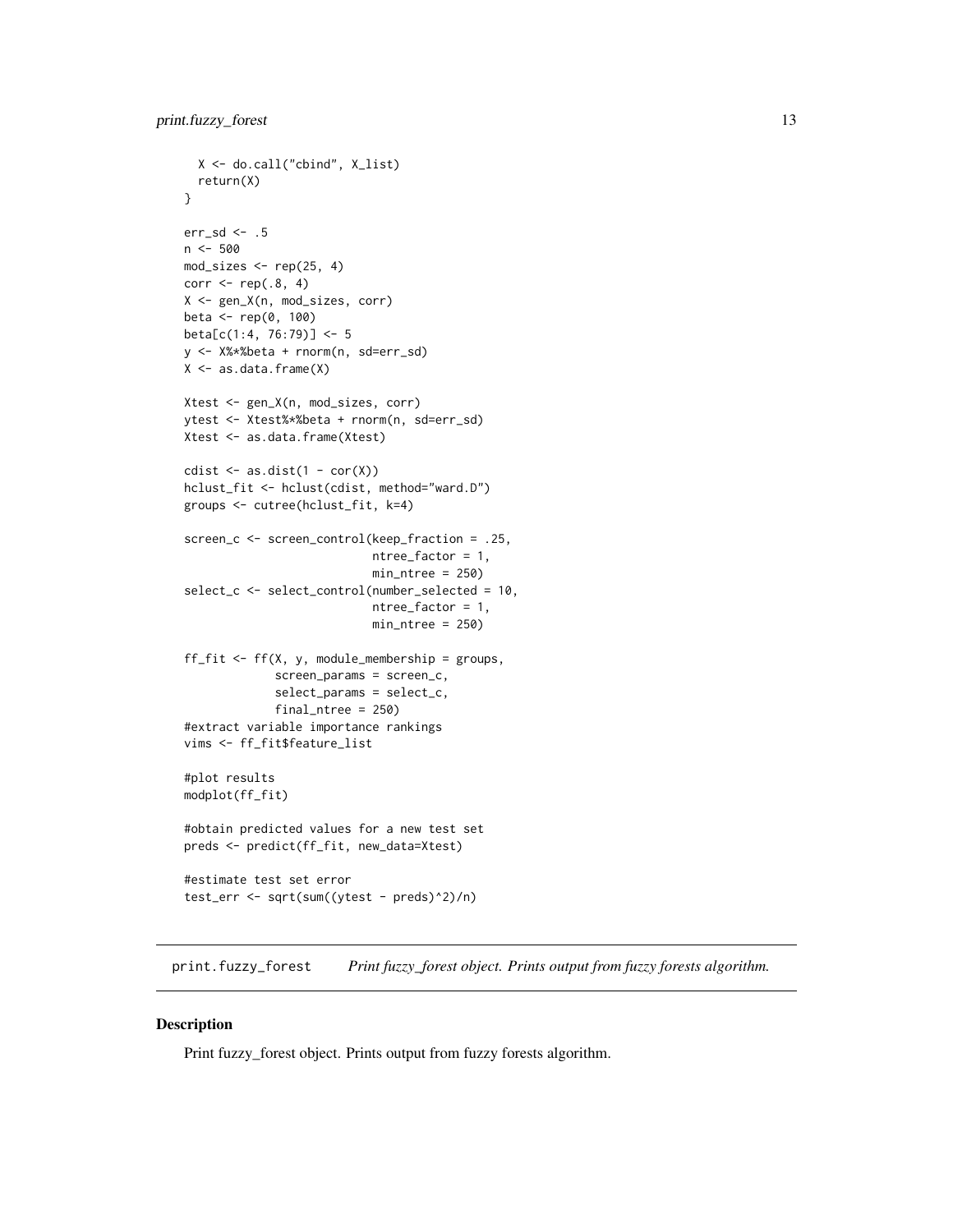```
X <- do.call("cbind", X_list)
  return(X)
}
err_sd <- .5
n <- 500
mod\_sizes \leftarrow rep(25, 4)corr \leq rep(.8, 4)
X <- gen_X(n, mod_sizes, corr)
beta <- rep(0, 100)
beta[c(1:4, 76:79)] <- 5
y <- X%*%beta + rnorm(n, sd=err_sd)
X <- as.data.frame(X)
Xtest <- gen_X(n, mod_sizes, corr)
ytest <- Xtest%*%beta + rnorm(n, sd=err_sd)
Xtest <- as.data.frame(Xtest)
cdist \leq as.dist(1 - cor(X))
hclust_fit <- hclust(cdist, method="ward.D")
groups <- cutree(hclust_fit, k=4)
screen_c <- screen_control(keep_fraction = .25,
                           ntree_factor = 1,
                           min_ntree = 250)
select_c <- select_control(number_selected = 10,
                           ntree_factor = 1,
                           min_ntree = 250)
ff_fit <- ff(X, y, module_membership = groups,
             screen_params = screen_c,
             select_params = select_c,
             final_ntree = 250)
#extract variable importance rankings
vims <- ff_fit$feature_list
#plot results
modplot(ff_fit)
#obtain predicted values for a new test set
preds <- predict(ff_fit, new_data=Xtest)
#estimate test set error
test_err <- sqrt(sum((ytest - preds)^2)/n)
```
<span id="page-12-1"></span>print.fuzzy\_forest *Print fuzzy\_forest object. Prints output from fuzzy forests algorithm.*

# Description

Print fuzzy\_forest object. Prints output from fuzzy forests algorithm.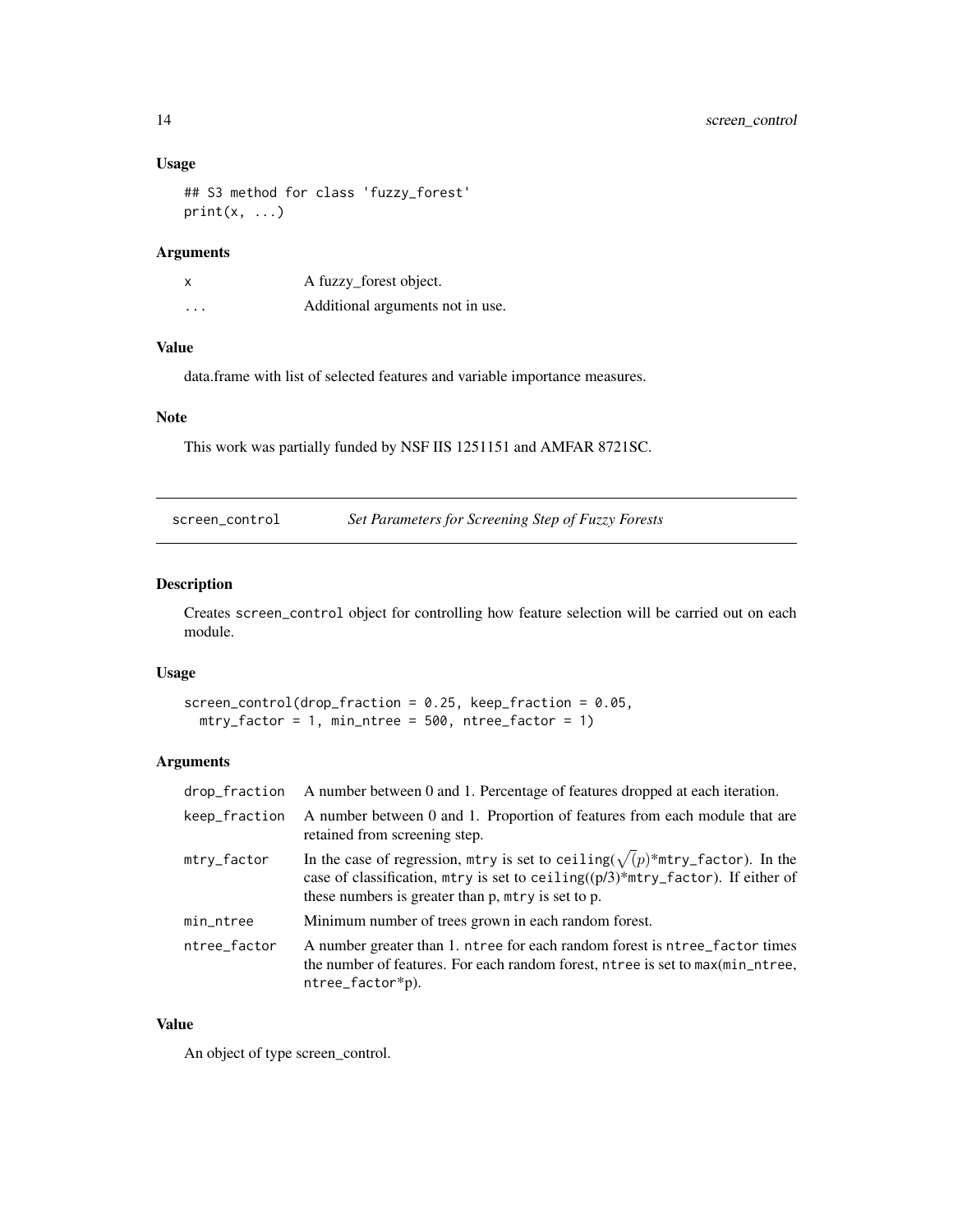# <span id="page-13-0"></span>Usage

```
## S3 method for class 'fuzzy_forest'
print(x, \ldots)
```
# Arguments

|          | A fuzzy_forest object.           |
|----------|----------------------------------|
| $\cdots$ | Additional arguments not in use. |

# Value

data.frame with list of selected features and variable importance measures.

# Note

This work was partially funded by NSF IIS 1251151 and AMFAR 8721SC.

<span id="page-13-1"></span>screen\_control *Set Parameters for Screening Step of Fuzzy Forests*

#### Description

Creates screen\_control object for controlling how feature selection will be carried out on each module.

# Usage

```
screen_control(drop_fraction = 0.25, keep_fraction = 0.05,
 mtry_factor = 1, min_ftree = 500, ntree_factor = 1)
```
# Arguments

| drop_fraction | A number between 0 and 1. Percentage of features dropped at each iteration.                                                                                                                                                      |
|---------------|----------------------------------------------------------------------------------------------------------------------------------------------------------------------------------------------------------------------------------|
| keep_fraction | A number between 0 and 1. Proportion of features from each module that are<br>retained from screening step.                                                                                                                      |
| mtry_factor   | In the case of regression, mtry is set to ceiling( $\sqrt(p)$ *mtry_factor). In the<br>case of classification, mtry is set to ceiling $((p/3)$ *mtry_factor). If either of<br>these numbers is greater than p, mtry is set to p. |
| min_ntree     | Minimum number of trees grown in each random forest.                                                                                                                                                                             |
| ntree_factor  | A number greater than 1. ntree for each random forest is ntree_factor times<br>the number of features. For each random forest, ntree is set to $max(min_ntree,$<br>$ntree_factor*p$ ).                                           |

# Value

An object of type screen\_control.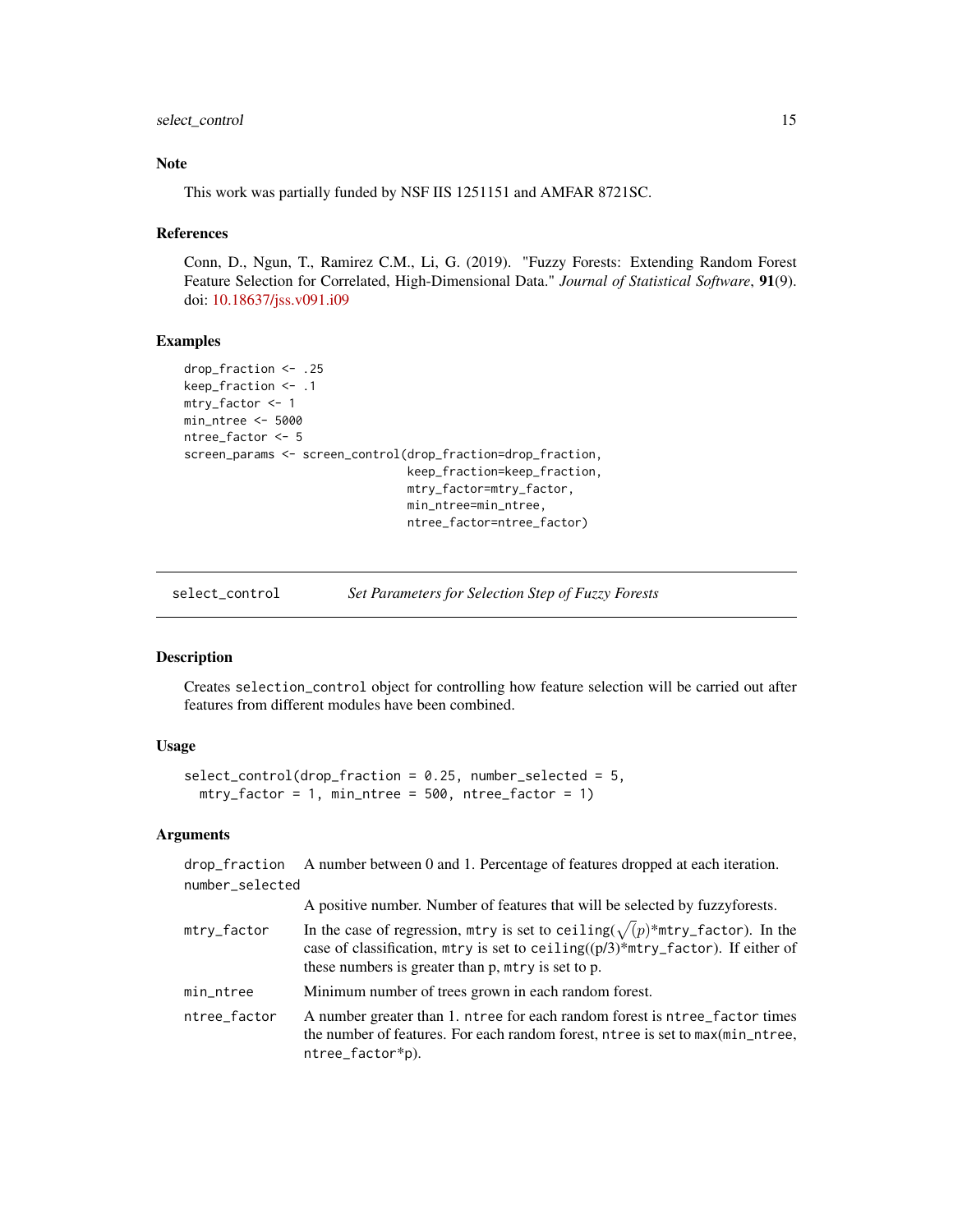<span id="page-14-0"></span>select\_control 15

### Note

This work was partially funded by NSF IIS 1251151 and AMFAR 8721SC.

#### References

Conn, D., Ngun, T., Ramirez C.M., Li, G. (2019). "Fuzzy Forests: Extending Random Forest Feature Selection for Correlated, High-Dimensional Data." *Journal of Statistical Software*, 91(9). doi: [10.18637/jss.v091.i09](https://doi.org/10.18637/jss.v091.i09)

# Examples

```
drop_fraction <- .25
keep_fraction <- .1
mtry_factor <- 1
min_ntree <- 5000
ntree_factor <- 5
screen_params <- screen_control(drop_fraction=drop_fraction,
                                keep_fraction=keep_fraction,
                                mtry_factor=mtry_factor,
                                min_ntree=min_ntree,
                                ntree_factor=ntree_factor)
```
<span id="page-14-1"></span>

select\_control *Set Parameters for Selection Step of Fuzzy Forests*

# Description

Creates selection\_control object for controlling how feature selection will be carried out after features from different modules have been combined.

# Usage

```
select_control(drop_fraction = 0.25, number_selected = 5,
 mtry_factor = 1, min_ftree = 500, ntree_factor = 1)
```
# Arguments

drop\_fraction A number between 0 and 1. Percentage of features dropped at each iteration. number\_selected

|              | A positive number. Number of features that will be selected by fuzzyforests.                                                                                                                                                     |
|--------------|----------------------------------------------------------------------------------------------------------------------------------------------------------------------------------------------------------------------------------|
| mtry_factor  | In the case of regression, mtry is set to ceiling( $\sqrt(p)$ *mtry_factor). In the<br>case of classification, mtry is set to ceiling $((p/3)$ *mtry_factor). If either of<br>these numbers is greater than p, mtry is set to p. |
| min_ntree    | Minimum number of trees grown in each random forest.                                                                                                                                                                             |
| ntree_factor | A number greater than 1. ntree for each random forest is ntree_factor times<br>the number of features. For each random forest, ntree is set to $max(min_ntree,$<br>ntree_factor*p).                                              |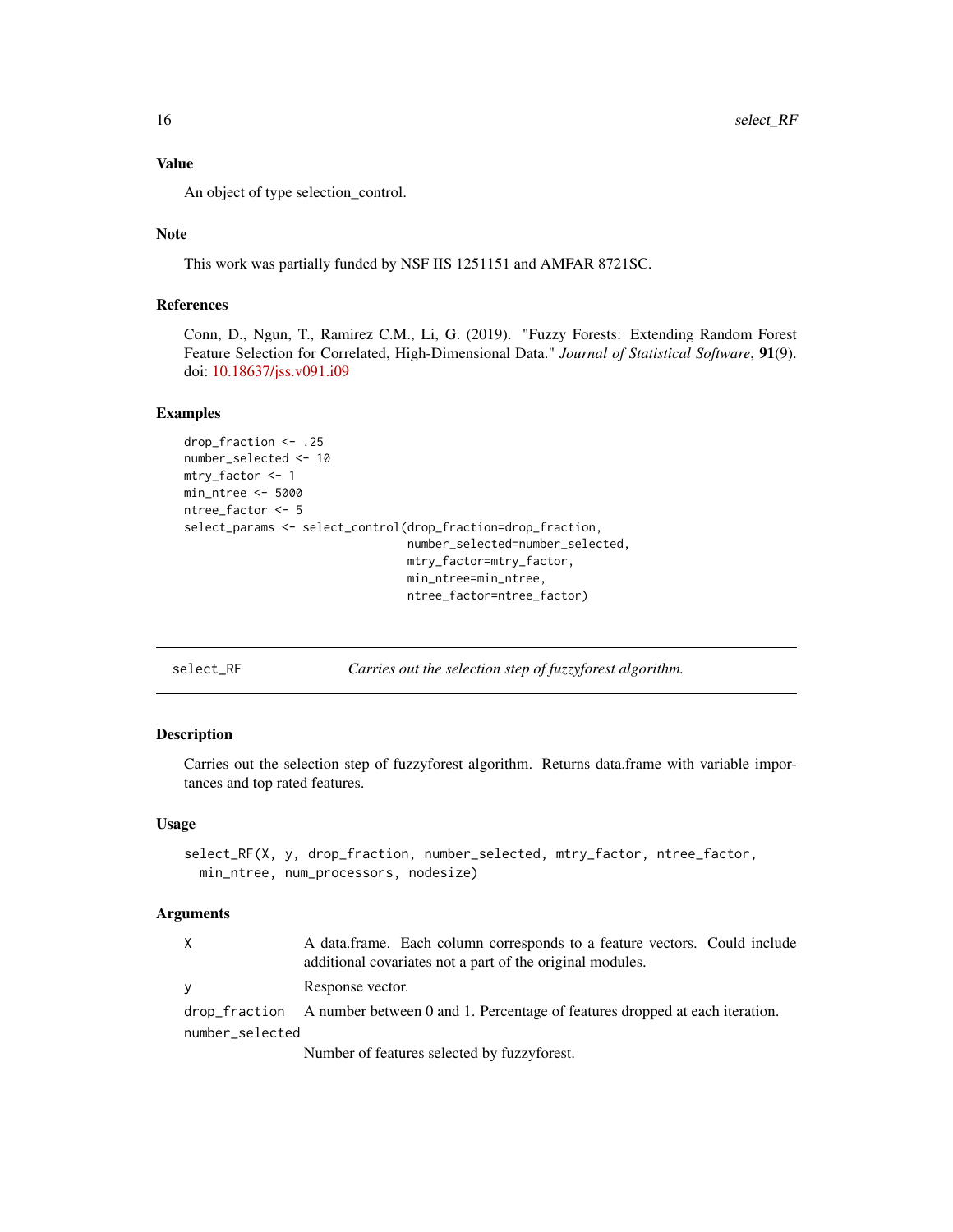An object of type selection\_control.

#### Note

This work was partially funded by NSF IIS 1251151 and AMFAR 8721SC.

#### References

Conn, D., Ngun, T., Ramirez C.M., Li, G. (2019). "Fuzzy Forests: Extending Random Forest Feature Selection for Correlated, High-Dimensional Data." *Journal of Statistical Software*, 91(9). doi: [10.18637/jss.v091.i09](https://doi.org/10.18637/jss.v091.i09)

#### Examples

```
drop_fraction <- .25
number_selected <- 10
mtry_factor <- 1
min_ntree <- 5000
ntree_factor <- 5
select_params <- select_control(drop_fraction=drop_fraction,
                                number_selected=number_selected,
                                mtry_factor=mtry_factor,
                                min_ntree=min_ntree,
                                ntree_factor=ntree_factor)
```
select\_RF *Carries out the selection step of fuzzyforest algorithm.*

# Description

Carries out the selection step of fuzzyforest algorithm. Returns data.frame with variable importances and top rated features.

#### Usage

```
select_RF(X, y, drop_fraction, number_selected, mtry_factor, ntree_factor,
 min_ntree, num_processors, nodesize)
```

| X               | A data.frame. Each column corresponds to a feature vectors. Could include<br>additional covariates not a part of the original modules. |  |  |
|-----------------|----------------------------------------------------------------------------------------------------------------------------------------|--|--|
| V               | Response vector.                                                                                                                       |  |  |
|                 | $drop-fraction$ A number between 0 and 1. Percentage of features dropped at each iteration.                                            |  |  |
| number_selected |                                                                                                                                        |  |  |
|                 | Number of features selected by fuzzyforest.                                                                                            |  |  |

<span id="page-15-0"></span>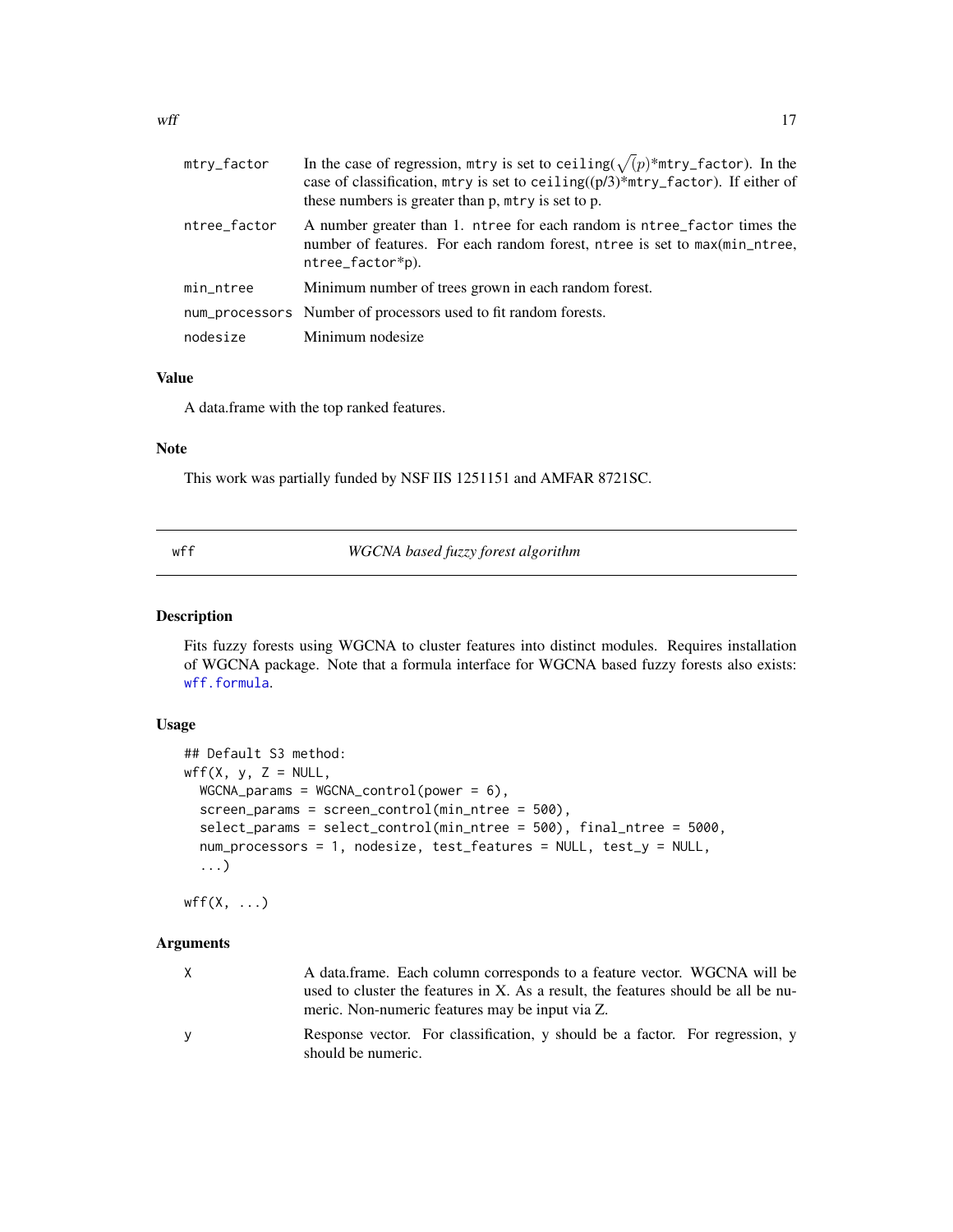<span id="page-16-0"></span>

| mtry_factor  | In the case of regression, mtry is set to ceiling( $\sqrt{(p)}$ *mtry_factor). In the<br>case of classification, mtry is set to ceiling( $(p/3)$ *mtry_factor). If either of<br>these numbers is greater than p, mtry is set to p. |  |
|--------------|------------------------------------------------------------------------------------------------------------------------------------------------------------------------------------------------------------------------------------|--|
| ntree_factor | A number greater than 1. ntree for each random is ntree_factor times the<br>number of features. For each random forest, ntree is set to max(min_ntree,<br>ntree_factor*p).                                                         |  |
| min_ntree    | Minimum number of trees grown in each random forest.                                                                                                                                                                               |  |
|              | num_processors Number of processors used to fit random forests.                                                                                                                                                                    |  |
| nodesize     | Minimum nodesize                                                                                                                                                                                                                   |  |

A data.frame with the top ranked features.

# Note

This work was partially funded by NSF IIS 1251151 and AMFAR 8721SC.

<span id="page-16-1"></span>

# wff *WGCNA based fuzzy forest algorithm*

# Description

Fits fuzzy forests using WGCNA to cluster features into distinct modules. Requires installation of WGCNA package. Note that a formula interface for WGCNA based fuzzy forests also exists: [wff.formula](#page-18-1).

#### Usage

```
## Default S3 method:
wff(X, y, Z = NULL,WGCNA params = WGCNA control(power = 6),
  screen_params = screen_control(min_ntree = 500),
  select_params = select_control(min_ntree = 500), final_ntree = 5000,
  num_processors = 1, nodesize, test_features = NULL, test_y = NULL,
  ...)
```
 $wff(X, \ldots)$ 

| X | A data.frame. Each column corresponds to a feature vector. WGCNA will be                                                             |
|---|--------------------------------------------------------------------------------------------------------------------------------------|
|   | used to cluster the features in X. As a result, the features should be all be nu-<br>meric. Non-numeric features may be input via Z. |
| v | Response vector. For classification, y should be a factor. For regression, y<br>should be numeric.                                   |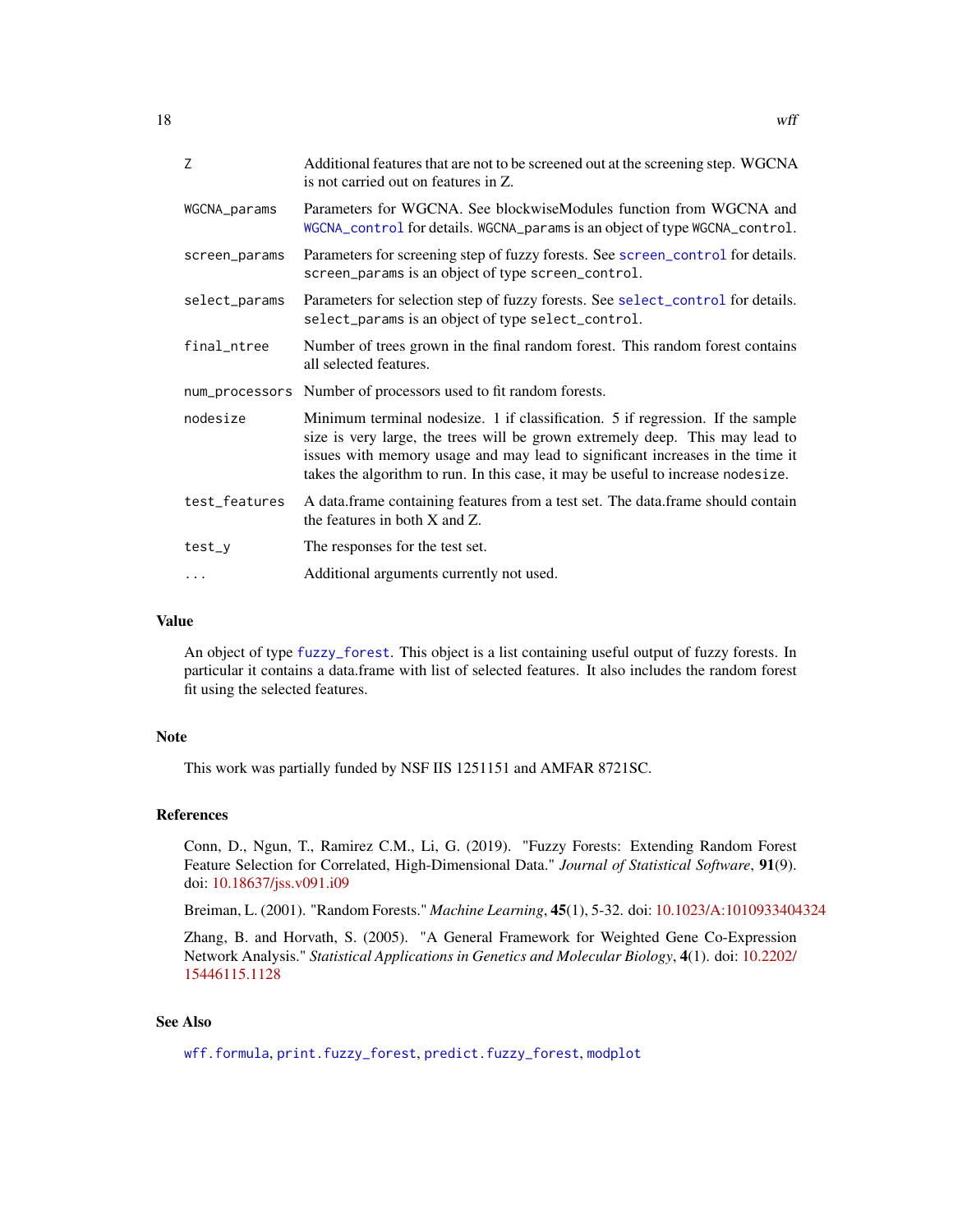<span id="page-17-0"></span>

| 7             | Additional features that are not to be screened out at the screening step. WGCNA<br>is not carried out on features in Z.                                                                                                                                                                                                            |  |
|---------------|-------------------------------------------------------------------------------------------------------------------------------------------------------------------------------------------------------------------------------------------------------------------------------------------------------------------------------------|--|
| WGCNA_params  | Parameters for WGCNA. See blockwiseModules function from WGCNA and<br>WGCNA_control for details. WGCNA_params is an object of type WGCNA_control.                                                                                                                                                                                   |  |
| screen_params | Parameters for screening step of fuzzy forests. See screen_control for details.<br>screen_params is an object of type screen_control.                                                                                                                                                                                               |  |
| select_params | Parameters for selection step of fuzzy forests. See select_control for details.<br>select_params is an object of type select_control.                                                                                                                                                                                               |  |
| final_ntree   | Number of trees grown in the final random forest. This random forest contains<br>all selected features.                                                                                                                                                                                                                             |  |
|               | num_processors Number of processors used to fit random forests.                                                                                                                                                                                                                                                                     |  |
| nodesize      | Minimum terminal nodesize. 1 if classification. 5 if regression. If the sample<br>size is very large, the trees will be grown extremely deep. This may lead to<br>issues with memory usage and may lead to significant increases in the time it<br>takes the algorithm to run. In this case, it may be useful to increase nodesize. |  |
| test_features | A data frame containing features from a test set. The data frame should contain<br>the features in both $X$ and $Z$ .                                                                                                                                                                                                               |  |
| test_y        | The responses for the test set.                                                                                                                                                                                                                                                                                                     |  |
| $\cdots$      | Additional arguments currently not used.                                                                                                                                                                                                                                                                                            |  |

An object of type [fuzzy\\_forest](#page-7-1). This object is a list containing useful output of fuzzy forests. In particular it contains a data.frame with list of selected features. It also includes the random forest fit using the selected features.

# Note

This work was partially funded by NSF IIS 1251151 and AMFAR 8721SC.

#### References

Conn, D., Ngun, T., Ramirez C.M., Li, G. (2019). "Fuzzy Forests: Extending Random Forest Feature Selection for Correlated, High-Dimensional Data." *Journal of Statistical Software*, 91(9). doi: [10.18637/jss.v091.i09](https://doi.org/10.18637/jss.v091.i09)

Breiman, L. (2001). "Random Forests." *Machine Learning*, 45(1), 5-32. doi: [10.1023/A:1010933404324](https://doi.org/10.1023/A:1010933404324)

Zhang, B. and Horvath, S. (2005). "A General Framework for Weighted Gene Co-Expression Network Analysis." *Statistical Applications in Genetics and Molecular Biology*, 4(1). doi: [10.2202/](https://doi.org/10.2202/1544-6115.1128) [15446115.1128](https://doi.org/10.2202/1544-6115.1128)

# See Also

[wff.formula](#page-18-1), [print.fuzzy\\_forest](#page-12-1), [predict.fuzzy\\_forest](#page-11-1), [modplot](#page-9-1)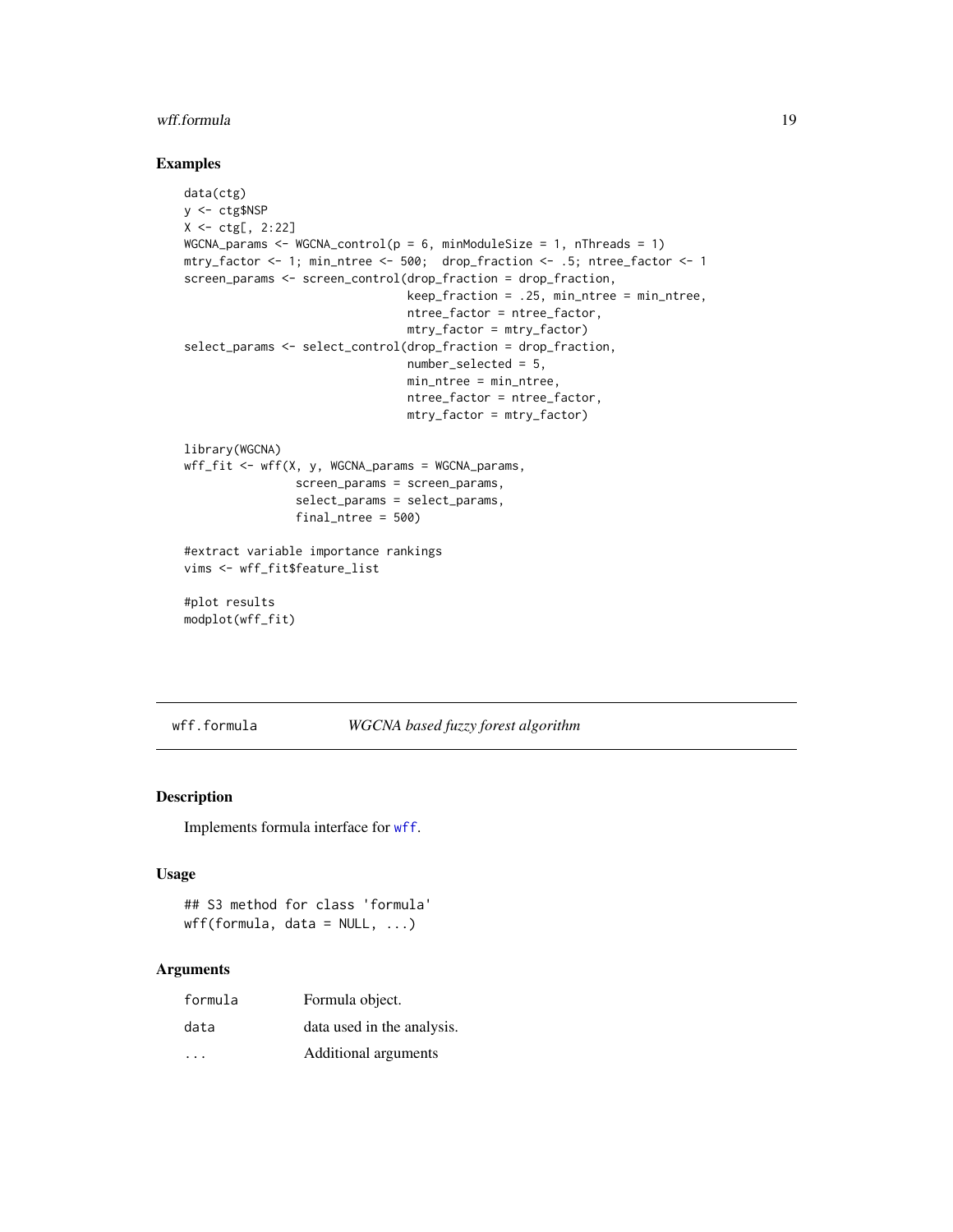#### <span id="page-18-0"></span>wff.formula 19

# Examples

```
data(ctg)
y <- ctg$NSP
X <- ctg[, 2:22]
WGCNA_params \leq WGCNA_control(p = 6, minModuleSize = 1, nThreads = 1)
mtry_factor <- 1; min_ntree <- 500; drop_fraction <- .5; ntree_factor <- 1
screen_params <- screen_control(drop_fraction = drop_fraction,
                                keep_fraction = .25, min_ntree = min_ntree,
                                ntree_factor = ntree_factor,
                                mtry_factor = mtry_factor)
select_params <- select_control(drop_fraction = drop_fraction,
                                number_selected = 5,
                                min_ntree = min_ntree,
                                ntree_factor = ntree_factor,
                                mtry_factor = mtry_factor)
library(WGCNA)
wff_fit <- wff(X, y, WGCNA_params = WGCNA_params,
                screen_params = screen_params,
                select_params = select_params,
                final_ntree = 500)
#extract variable importance rankings
vims <- wff_fit$feature_list
#plot results
modplot(wff_fit)
```
<span id="page-18-1"></span>wff.formula *WGCNA based fuzzy forest algorithm*

# Description

Implements formula interface for [wff](#page-16-1).

#### Usage

```
## S3 method for class 'formula'
wff(formula, data = NULL, ...)
```

| formula                 | Formula object.            |
|-------------------------|----------------------------|
| data                    | data used in the analysis. |
| $\cdot$ $\cdot$ $\cdot$ | Additional arguments       |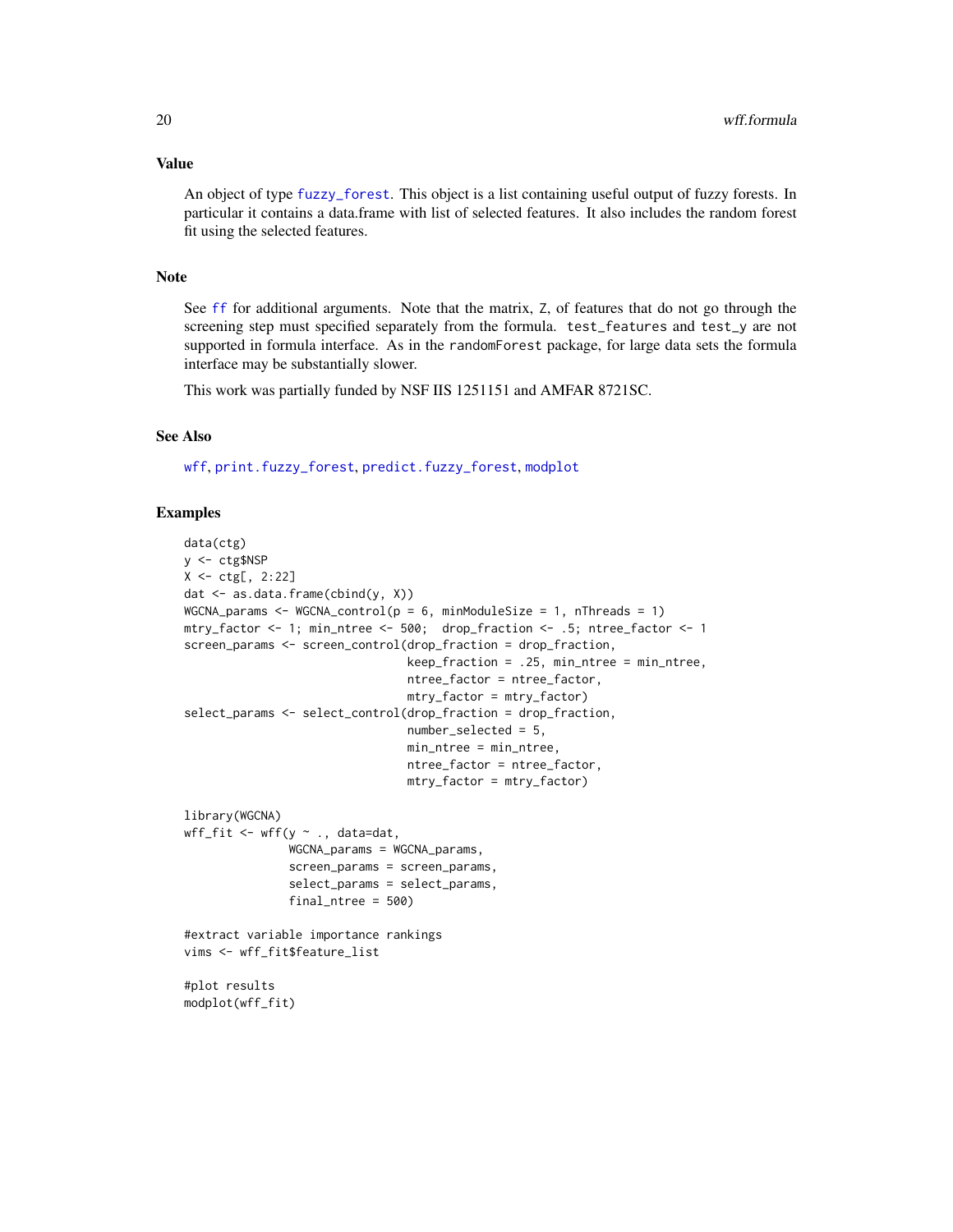<span id="page-19-0"></span>An object of type [fuzzy\\_forest](#page-7-1). This object is a list containing useful output of fuzzy forests. In particular it contains a data.frame with list of selected features. It also includes the random forest fit using the selected features.

#### Note

See [ff](#page-2-1) for additional arguments. Note that the matrix, Z, of features that do not go through the screening step must specified separately from the formula. test\_features and test\_y are not supported in formula interface. As in the randomForest package, for large data sets the formula interface may be substantially slower.

This work was partially funded by NSF IIS 1251151 and AMFAR 8721SC.

# See Also

[wff](#page-16-1), [print.fuzzy\\_forest](#page-12-1), [predict.fuzzy\\_forest](#page-11-1), [modplot](#page-9-1)

# Examples

```
data(ctg)
y <- ctg$NSP
X \leftarrow ctg[, 2:22]dat \leq as.data.frame(cbind(y, X))
WGCNA_params \leq WGCNA_control(p = 6, minModuleSize = 1, nThreads = 1)
mtry_factor <- 1; min_ntree <- 500; drop_fraction <- .5; ntree_factor <- 1
screen_params <- screen_control(drop_fraction = drop_fraction,
                                 keep\_fraction = .25, min\_ntree = min\_ntree,ntree_factor = ntree_factor,
                                 mtry_factor = mtry_factor)
select_params <- select_control(drop_fraction = drop_fraction,
                                 number_selected = 5,
                                 min_ntree = min_ntree,
                                 ntree_factor = ntree_factor,
                                 mtry_factor = mtry_factor)
library(WGCNA)
wff_fit <- wff(y \sim ., data=dat,
               WGCNA_params = WGCNA_params,
               screen_params = screen_params,
               select_params = select_params,
               final_ntree = 500)
#extract variable importance rankings
vims <- wff_fit$feature_list
#plot results
modplot(wff_fit)
```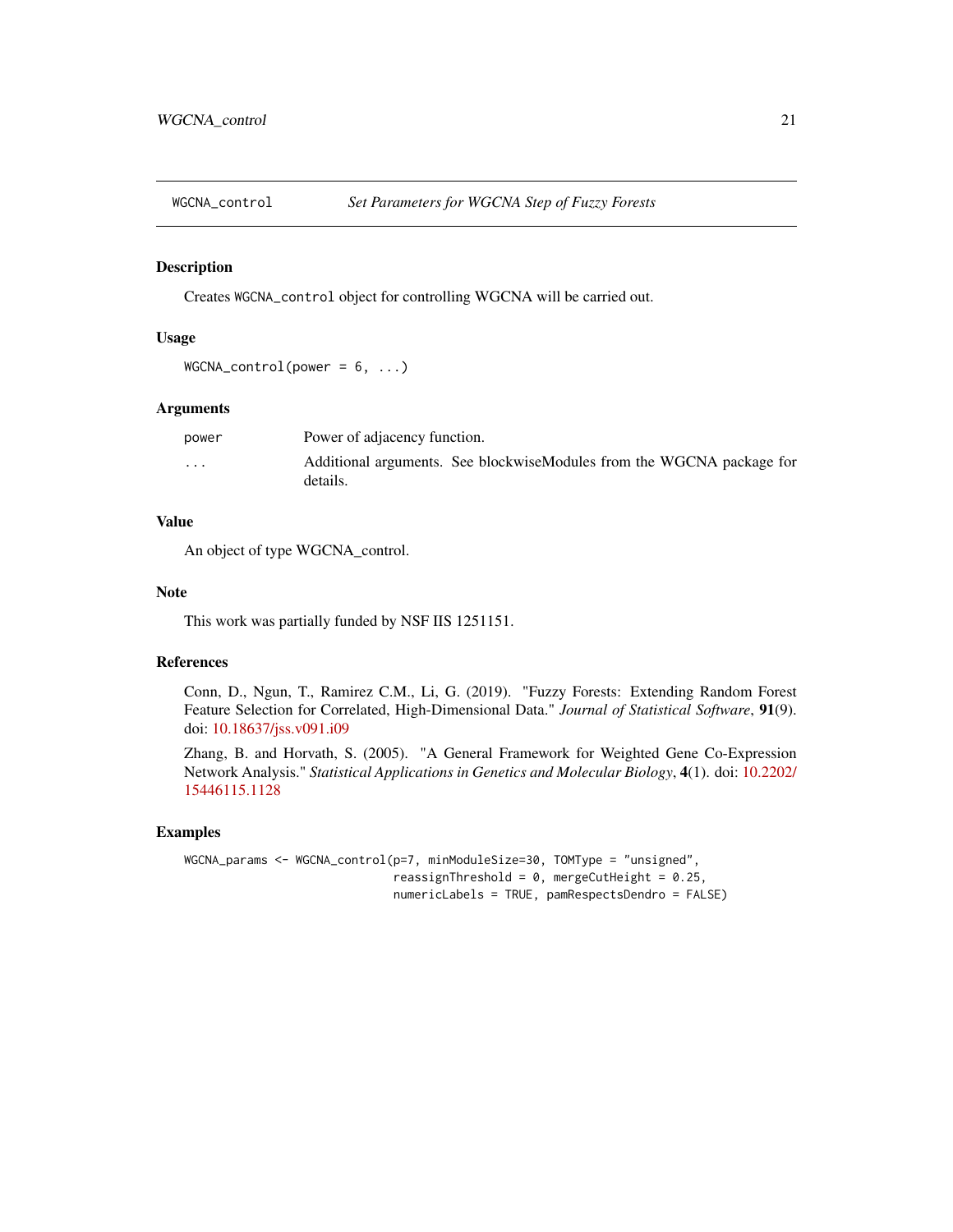<span id="page-20-1"></span><span id="page-20-0"></span>

Creates WGCNA\_control object for controlling WGCNA will be carried out.

# Usage

```
WGCNA\_control(power = 6, ...)
```
#### Arguments

| power                | Power of adjacency function.                                                      |
|----------------------|-----------------------------------------------------------------------------------|
| $\ddot{\phantom{0}}$ | Additional arguments. See blockwiseModules from the WGCNA package for<br>details. |

# Value

An object of type WGCNA\_control.

# Note

This work was partially funded by NSF IIS 1251151.

# References

Conn, D., Ngun, T., Ramirez C.M., Li, G. (2019). "Fuzzy Forests: Extending Random Forest Feature Selection for Correlated, High-Dimensional Data." *Journal of Statistical Software*, 91(9). doi: [10.18637/jss.v091.i09](https://doi.org/10.18637/jss.v091.i09)

Zhang, B. and Horvath, S. (2005). "A General Framework for Weighted Gene Co-Expression Network Analysis." *Statistical Applications in Genetics and Molecular Biology*, 4(1). doi: [10.2202/](https://doi.org/10.2202/1544-6115.1128) [15446115.1128](https://doi.org/10.2202/1544-6115.1128)

# Examples

```
WGCNA_params <- WGCNA_control(p=7, minModuleSize=30, TOMType = "unsigned",
                              reassignThreshold = 0, mergeCutHeight = 0.25,
                              numericLabels = TRUE, pamRespectsDendro = FALSE)
```